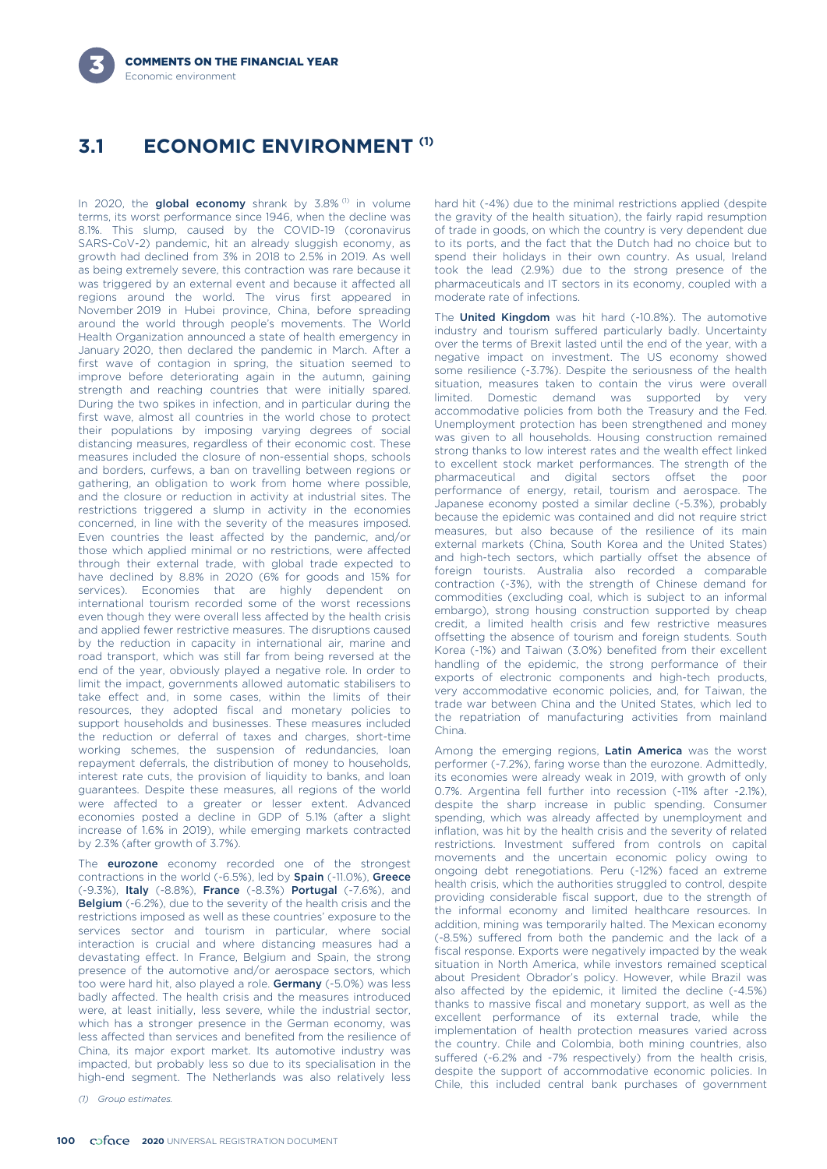# **ECONOMIC ENVIRONMENT (1) 3.1**

In 2020, the global economy shrank by  $3.8\%$ <sup>(1)</sup> in volume terms, its worst performance since 1946, when the decline was 8.1%. This slump, caused by the COVID-19 (coronavirus SARS-CoV-2) pandemic, hit an already sluggish economy, as growth had declined from 3% in 2018 to 2.5% in 2019. As well as being extremely severe, this contraction was rare because it was triggered by an external event and because it affected all regions around the world. The virus first appeared in November 2019 in Hubei province, China, before spreading around the world through people's movements. The World Health Organization announced a state of health emergency in January 2020, then declared the pandemic in March. After a first wave of contagion in spring, the situation seemed to improve before deteriorating again in the autumn, gaining strength and reaching countries that were initially spared. During the two spikes in infection, and in particular during the first wave, almost all countries in the world chose to protect their populations by imposing varying degrees of social distancing measures, regardless of their economic cost. These measures included the closure of non-essential shops, schools and borders, curfews, a ban on travelling between regions or gathering, an obligation to work from home where possible, and the closure or reduction in activity at industrial sites. The restrictions triggered a slump in activity in the economies concerned, in line with the severity of the measures imposed. Even countries the least affected by the pandemic, and/or those which applied minimal or no restrictions, were affected through their external trade, with global trade expected to have declined by 8.8% in 2020 (6% for goods and 15% for services). Economies that are highly dependent on international tourism recorded some of the worst recessions even though they were overall less affected by the health crisis and applied fewer restrictive measures. The disruptions caused by the reduction in capacity in international air, marine and road transport, which was still far from being reversed at the end of the year, obviously played a negative role. In order to limit the impact, governments allowed automatic stabilisers to take effect and, in some cases, within the limits of their resources, they adopted fiscal and monetary policies to support households and businesses. These measures included the reduction or deferral of taxes and charges, short-time working schemes, the suspension of redundancies, loan repayment deferrals, the distribution of money to households, interest rate cuts, the provision of liquidity to banks, and loan guarantees. Despite these measures, all regions of the world were affected to a greater or lesser extent. Advanced economies posted a decline in GDP of 5.1% (after a slight increase of 1.6% in 2019), while emerging markets contracted by 2.3% (after growth of 3.7%).

The **eurozone** economy recorded one of the strongest contractions in the world (-6.5%), led by Spain (-11.0%), Greece (-9.3%), Italy (-8.8%), France (-8.3%) Portugal (-7.6%), and Belgium (-6.2%), due to the severity of the health crisis and the restrictions imposed as well as these countries' exposure to the services sector and tourism in particular, where social interaction is crucial and where distancing measures had a devastating effect. In France, Belgium and Spain, the strong presence of the automotive and/or aerospace sectors, which too were hard hit, also played a role. Germany (-5.0%) was less badly affected. The health crisis and the measures introduced were, at least initially, less severe, while the industrial sector, which has a stronger presence in the German economy, was less affected than services and benefited from the resilience of China, its major export market. Its automotive industry was impacted, but probably less so due to its specialisation in the high-end segment. The Netherlands was also relatively less

*(1) Group estimates.*

hard hit (-4%) due to the minimal restrictions applied (despite the gravity of the health situation), the fairly rapid resumption of trade in goods, on which the country is very dependent due to its ports, and the fact that the Dutch had no choice but to spend their holidays in their own country. As usual, Ireland took the lead (2.9%) due to the strong presence of the pharmaceuticals and IT sectors in its economy, coupled with a moderate rate of infections.

The **United Kingdom** was hit hard (-10.8%). The automotive industry and tourism suffered particularly badly. Uncertainty over the terms of Brexit lasted until the end of the year, with a negative impact on investment. The US economy showed some resilience (-3.7%). Despite the seriousness of the health situation, measures taken to contain the virus were overall limited. Domestic demand was supported by very accommodative policies from both the Treasury and the Fed. Unemployment protection has been strengthened and money was given to all households. Housing construction remained strong thanks to low interest rates and the wealth effect linked to excellent stock market performances. The strength of the pharmaceutical and digital sectors offset the poor performance of energy, retail, tourism and aerospace. The Japanese economy posted a similar decline (-5.3%), probably because the epidemic was contained and did not require strict measures, but also because of the resilience of its main external markets (China, South Korea and the United States) and high-tech sectors, which partially offset the absence of foreign tourists. Australia also recorded a comparable contraction (-3%), with the strength of Chinese demand for commodities (excluding coal, which is subject to an informal embargo), strong housing construction supported by cheap credit, a limited health crisis and few restrictive measures offsetting the absence of tourism and foreign students. South Korea (-1%) and Taiwan (3.0%) benefited from their excellent handling of the epidemic, the strong performance of their exports of electronic components and high-tech products, very accommodative economic policies, and, for Taiwan, the trade war between China and the United States, which led to the repatriation of manufacturing activities from mainland China.

Among the emerging regions, Latin America was the worst performer (-7.2%), faring worse than the eurozone. Admittedly, its economies were already weak in 2019, with growth of only 0.7%. Argentina fell further into recession (-11% after -2.1%), despite the sharp increase in public spending. Consumer spending, which was already affected by unemployment and inflation, was hit by the health crisis and the severity of related restrictions. Investment suffered from controls on capital movements and the uncertain economic policy owing to ongoing debt renegotiations. Peru (-12%) faced an extreme health crisis, which the authorities struggled to control, despite providing considerable fiscal support, due to the strength of the informal economy and limited healthcare resources. In addition, mining was temporarily halted. The Mexican economy (-8.5%) suffered from both the pandemic and the lack of a fiscal response. Exports were negatively impacted by the weak situation in North America, while investors remained sceptical about President Obrador's policy. However, while Brazil was also affected by the epidemic, it limited the decline (-4.5%) thanks to massive fiscal and monetary support, as well as the excellent performance of its external trade, while the implementation of health protection measures varied across the country. Chile and Colombia, both mining countries, also suffered (-6.2% and -7% respectively) from the health crisis, despite the support of accommodative economic policies. In Chile, this included central bank purchases of government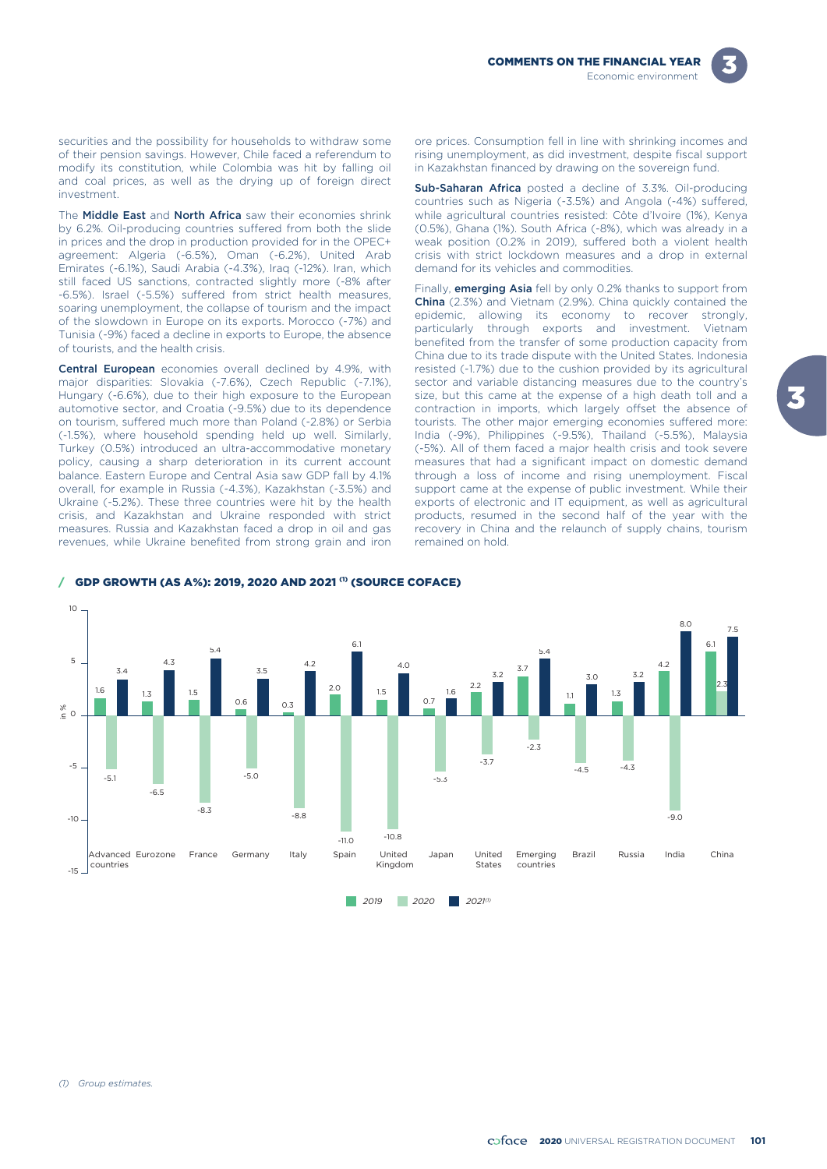



securities and the possibility for households to withdraw some of their pension savings. However, Chile faced a referendum to modify its constitution, while Colombia was hit by falling oil and coal prices, as well as the drying up of foreign direct investment.

The **Middle East** and **North Africa** saw their economies shrink by 6.2%. Oil-producing countries suffered from both the slide in prices and the drop in production provided for in the OPEC+ agreement: Algeria (-6.5%), Oman (-6.2%), United Arab Emirates (-6.1%), Saudi Arabia (-4.3%), Iraq (-12%). Iran, which still faced US sanctions, contracted slightly more (-8% after -6.5%). Israel (-5.5%) suffered from strict health measures, soaring unemployment, the collapse of tourism and the impact of the slowdown in Europe on its exports. Morocco (-7%) and Tunisia (-9%) faced a decline in exports to Europe, the absence of tourists, and the health crisis.

Central European economies overall declined by 4.9%, with major disparities: Slovakia (-7.6%), Czech Republic (-7.1%), Hungary (-6.6%), due to their high exposure to the European automotive sector, and Croatia (-9.5%) due to its dependence on tourism, suffered much more than Poland (-2.8%) or Serbia (-1.5%), where household spending held up well. Similarly, Turkey (0.5%) introduced an ultra-accommodative monetary policy, causing a sharp deterioration in its current account balance. Eastern Europe and Central Asia saw GDP fall by 4.1% overall, for example in Russia (-4.3%), Kazakhstan (-3.5%) and Ukraine (-5.2%). These three countries were hit by the health crisis, and Kazakhstan and Ukraine responded with strict measures. Russia and Kazakhstan faced a drop in oil and gas revenues, while Ukraine benefited from strong grain and iron ore prices. Consumption fell in line with shrinking incomes and rising unemployment, as did investment, despite fiscal support in Kazakhstan financed by drawing on the sovereign fund.

Sub-Saharan Africa posted a decline of 3.3%. Oil-producing countries such as Nigeria (-3.5%) and Angola (-4%) suffered, while agricultural countries resisted: Côte d'Ivoire (1%), Kenya (0.5%), Ghana (1%). South Africa (-8%), which was already in a weak position (0.2% in 2019), suffered both a violent health crisis with strict lockdown measures and a drop in external demand for its vehicles and commodities.

Finally, **emerging Asia** fell by only 0.2% thanks to support from China (2.3%) and Vietnam (2.9%). China quickly contained the epidemic, allowing its economy to recover strongly, particularly through exports and investment. Vietnam benefited from the transfer of some production capacity from China due to its trade dispute with the United States. Indonesia resisted (-1.7%) due to the cushion provided by its agricultural sector and variable distancing measures due to the country's size, but this came at the expense of a high death toll and a contraction in imports, which largely offset the absence of tourists. The other major emerging economies suffered more: India (-9%), Philippines (-9.5%), Thailand (-5.5%), Malaysia (-5%). All of them faced a major health crisis and took severe measures that had a significant impact on domestic demand through a loss of income and rising unemployment. Fiscal support came at the expense of public investment. While their exports of electronic and IT equipment, as well as agricultural products, resumed in the second half of the year with the recovery in China and the relaunch of supply chains, tourism remained on hold.



#### $/$  GDP GROWTH (AS A%): 2019, 2020 AND 2021 $^{(1)}$  (SOURCE COFACE)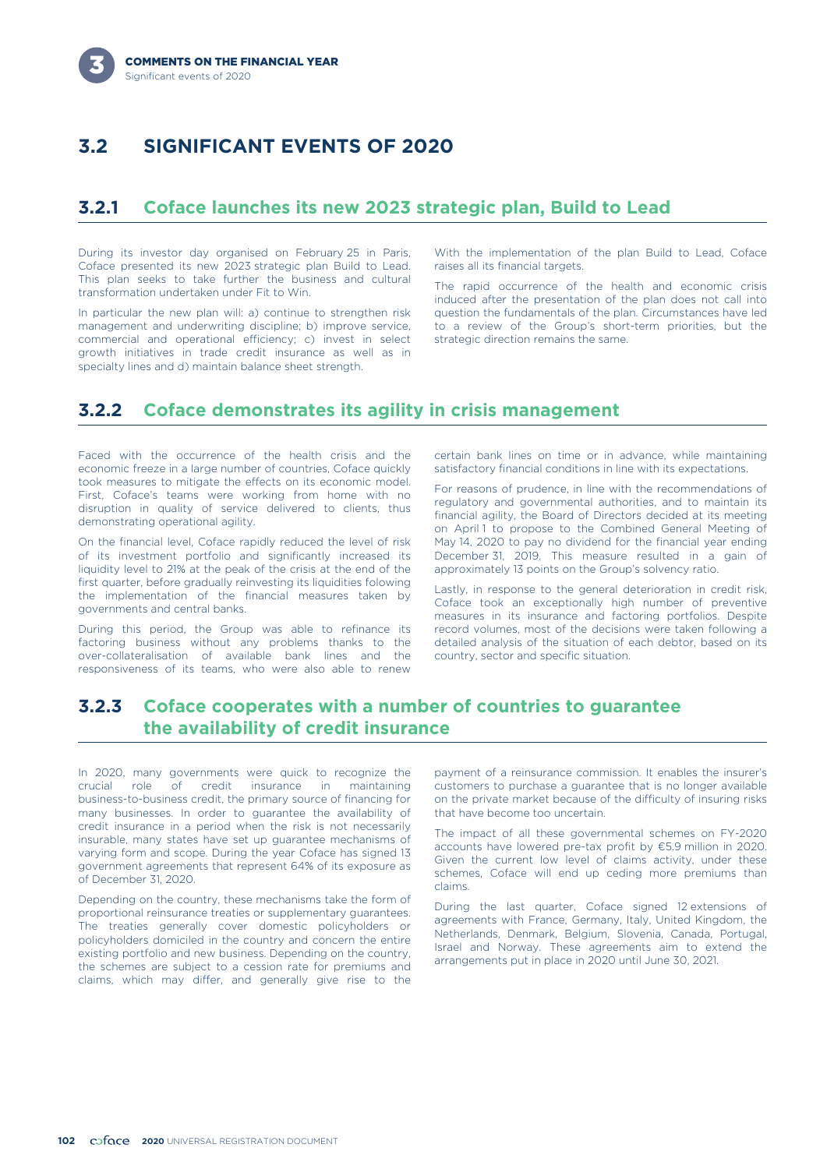# **3.2 SIGNIFICANT EVENTS OF 2020**

## **3.2.1 Coface launches its new 2023 strategic plan, Build to Lead**

During its investor day organised on February 25 in Paris, Coface presented its new 2023 strategic plan Build to Lead. This plan seeks to take further the business and cultural transformation undertaken under Fit to Win.

In particular the new plan will: a) continue to strengthen risk management and underwriting discipline; b) improve service, commercial and operational efficiency; c) invest in select growth initiatives in trade credit insurance as well as in specialty lines and d) maintain balance sheet strength.

With the implementation of the plan Build to Lead, Coface raises all its financial targets.

The rapid occurrence of the health and economic crisis induced after the presentation of the plan does not call into question the fundamentals of the plan. Circumstances have led to a review of the Group's short-term priorities, but the strategic direction remains the same.

### **3.2.2 Coface demonstrates its agility in crisis management**

Faced with the occurrence of the health crisis and the economic freeze in a large number of countries, Coface quickly took measures to mitigate the effects on its economic model. First, Coface's teams were working from home with no disruption in quality of service delivered to clients, thus demonstrating operational agility.

On the financial level, Coface rapidly reduced the level of risk of its investment portfolio and significantly increased its liquidity level to 21% at the peak of the crisis at the end of the first quarter, before gradually reinvesting its liquidities folowing the implementation of the financial measures taken by governments and central banks.

During this period, the Group was able to refinance its factoring business without any problems thanks to the over-collateralisation of available bank lines and the responsiveness of its teams, who were also able to renew

certain bank lines on time or in advance, while maintaining satisfactory financial conditions in line with its expectations.

For reasons of prudence, in line with the recommendations of regulatory and governmental authorities, and to maintain its financial agility, the Board of Directors decided at its meeting on April 1 to propose to the Combined General Meeting of May 14, 2020 to pay no dividend for the financial year ending December 31, 2019. This measure resulted in a gain of approximately 13 points on the Group's solvency ratio.

Lastly, in response to the general deterioration in credit risk, Coface took an exceptionally high number of preventive measures in its insurance and factoring portfolios. Despite record volumes, most of the decisions were taken following a detailed analysis of the situation of each debtor, based on its country, sector and specific situation.

## **3.2.3 Coface cooperates with a number of countries to guarantee the availability of credit insurance**

In 2020, many governments were quick to recognize the crucial role of credit insurance in maintaining business-to-business credit, the primary source of financing for many businesses. In order to guarantee the availability of credit insurance in a period when the risk is not necessarily insurable, many states have set up guarantee mechanisms of varying form and scope. During the year Coface has signed 13 government agreements that represent 64% of its exposure as of December 31, 2020.

Depending on the country, these mechanisms take the form of proportional reinsurance treaties or supplementary guarantees. The treaties generally cover domestic policyholders or policyholders domiciled in the country and concern the entire existing portfolio and new business. Depending on the country, the schemes are subject to a cession rate for premiums and claims, which may differ, and generally give rise to the

payment of a reinsurance commission. It enables the insurer's customers to purchase a guarantee that is no longer available on the private market because of the difficulty of insuring risks that have become too uncertain.

The impact of all these governmental schemes on FY-2020 accounts have lowered pre-tax profit by €5.9 million in 2020. Given the current low level of claims activity, under these schemes, Coface will end up ceding more premiums than claims.

During the last quarter, Coface signed 12 extensions of agreements with France, Germany, Italy, United Kingdom, the Netherlands, Denmark, Belgium, Slovenia, Canada, Portugal, Israel and Norway. These agreements aim to extend the arrangements put in place in 2020 until June 30, 2021.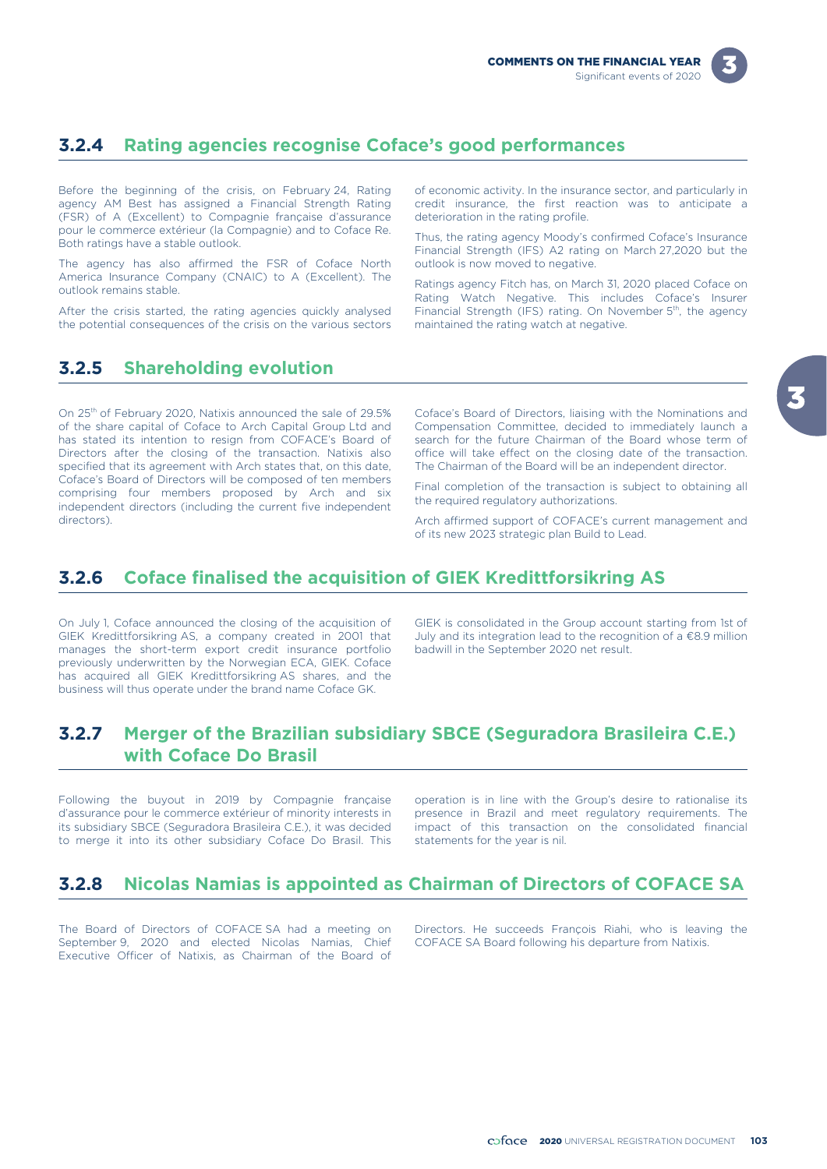

# **3.2.4 Rating agencies recognise Coface's good performances**

Before the beginning of the crisis, on February 24, Rating agency AM Best has assigned a Financial Strength Rating (FSR) of A (Excellent) to Compagnie française d'assurance pour le commerce extérieur (la Compagnie) and to Coface Re. Both ratings have a stable outlook.

The agency has also affirmed the FSR of Coface North America Insurance Company (CNAIC) to A (Excellent). The outlook remains stable.

After the crisis started, the rating agencies quickly analysed the potential consequences of the crisis on the various sectors of economic activity. In the insurance sector, and particularly in credit insurance, the first reaction was to anticipate a deterioration in the rating profile.

Thus, the rating agency Moody's confirmed Coface's Insurance Financial Strength (IFS) A2 rating on March 27,2020 but the outlook is now moved to negative.

Ratings agency Fitch has, on March 31, 2020 placed Coface on Rating Watch Negative. This includes Coface's Insurer Financial Strength (IFS) rating. On November 5<sup>th</sup>, the agency maintained the rating watch at negative.

# **3.2.5 Shareholding evolution**

On 25<sup>th</sup> of February 2020, Natixis announced the sale of 29.5% of the share capital of Coface to Arch Capital Group Ltd and has stated its intention to resign from COFACE's Board of Directors after the closing of the transaction. Natixis also specified that its agreement with Arch states that, on this date, Coface's Board of Directors will be composed of ten members comprising four members proposed by Arch and six independent directors (including the current five independent directors).

Coface's Board of Directors, liaising with the Nominations and Compensation Committee, decided to immediately launch a search for the future Chairman of the Board whose term of office will take effect on the closing date of the transaction. The Chairman of the Board will be an independent director.

Final completion of the transaction is subject to obtaining all the required regulatory authorizations.

Arch affirmed support of COFACE's current management and of its new 2023 strategic plan Build to Lead.

# **3.2.6 Coface finalised the acquisition of GIEK Kredittforsikring AS**

On July 1, Coface announced the closing of the acquisition of GIEK Kredittforsikring AS, a company created in 2001 that manages the short-term export credit insurance portfolio previously underwritten by the Norwegian ECA, GIEK. Coface has acquired all GIEK Kredittforsikring AS shares, and the business will thus operate under the brand name Coface GK.

GIEK is consolidated in the Group account starting from 1st of July and its integration lead to the recognition of a €8.9 million badwill in the September 2020 net result.

## **3.2.7 Merger of the Brazilian subsidiary SBCE (Seguradora Brasileira C.E.) with Coface Do Brasil**

Following the buyout in 2019 by Compagnie française operation is in line with the Group's desire to rationalise its d'assurance pour le commerce extérieur of minority interests in presence in Brazil and meet regulatory requirements. The its subsidiary SBCE (Seguradora Brasileira C.E.), it was decided impact of this transaction on the co its subsidiary SBCE (Seguradora Brasileira C.E.), it was decided to merge it into its other subsidiary Coface Do Brasil. This statements for the year is nil.

## **3.2.8 Nicolas Namias is appointed as Chairman of Directors of COFACE SA**

September 9, 2020 and elected Nicolas Namias, Chief COFACE SA Board following his departure from Natixis. Executive Officer of Natixis, as Chairman of the Board of

The Board of Directors of COFACE SA had a meeting on Directors. He succeeds François Riahi, who is leaving the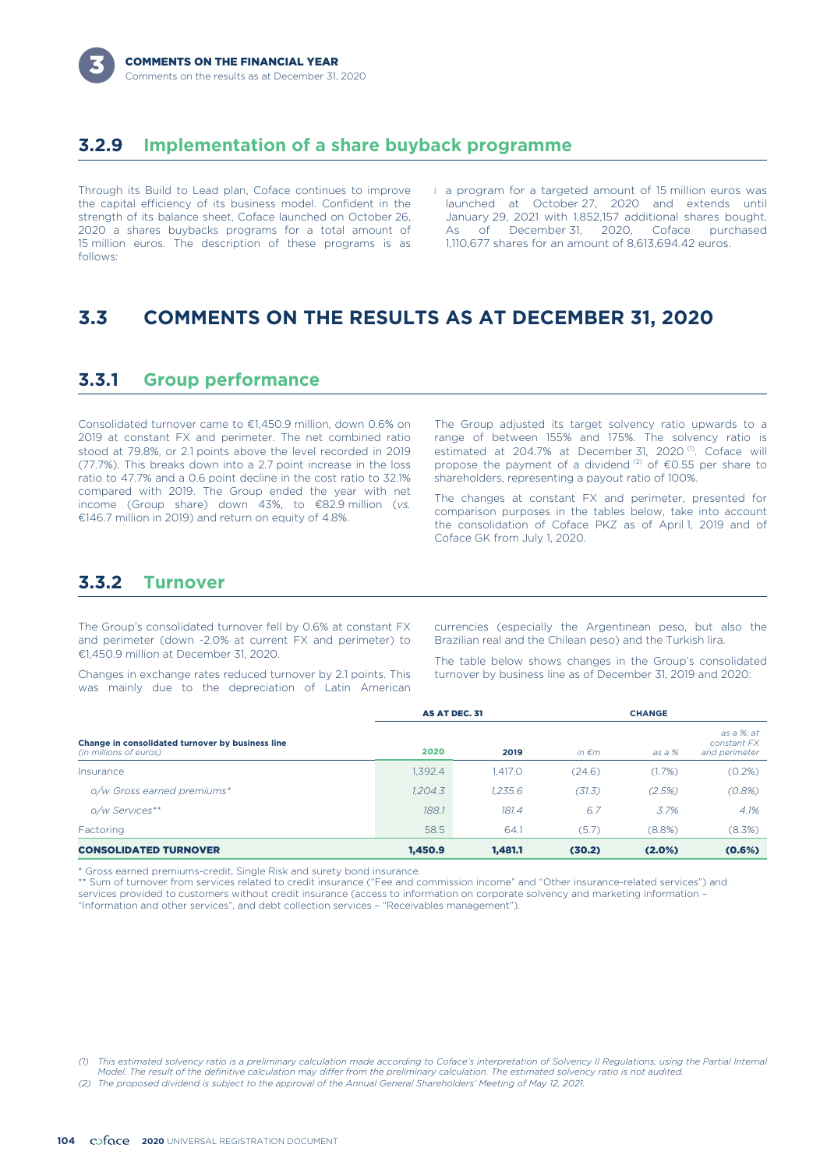## **3.2.9 Implementation of a share buyback programme**

Through its Build to Lead plan, Coface continues to improve the capital efficiency of its business model. Confident in the strength of its balance sheet, Coface launched on October 26, 2020 a shares buybacks programs for a total amount of 15 million euros. The description of these programs is as follows:

l a program for a targeted amount of 15 million euros was launched at October 27, 2020 and extends until January 29, 2021 with 1,852,157 additional shares bought. As of December 31, 2020, Coface purchased 1,110,677 shares for an amount of 8,613,694.42 euros.

# **3.3 COMMENTS ON THE RESULTS AS AT DECEMBER 31, 2020**

### **3.3.1 Group performance**

Consolidated turnover came to €1,450.9 million, down 0.6% on 2019 at constant FX and perimeter. The net combined ratio stood at 79.8%, or 2.1 points above the level recorded in 2019 (77.7%). This breaks down into a 2.7 point increase in the loss ratio to 47.7% and a 0.6 point decline in the cost ratio to 32.1% compared with 2019. The Group ended the year with net income (Group share) down 43%, to €82.9 million (*vs.* €146.7 million in 2019) and return on equity of 4.8%.

The Group adjusted its target solvency ratio upwards to a range of between 155% and 175%. The solvency ratio is estimated at 204.7% at December 31, 2020<sup>(1)</sup>. Coface will propose the payment of a dividend  $(2)$  of  $\epsilon$ 0.55 per share to shareholders, representing a payout ratio of 100%.

The changes at constant FX and perimeter, presented for comparison purposes in the tables below, take into account the consolidation of Coface PKZ as of April 1, 2019 and of Coface GK from July 1, 2020.

### **3.3.2 Turnover**

The Group's consolidated turnover fell by 0.6% at constant FX and perimeter (down -2.0% at current FX and perimeter) to €1,450.9 million at December 31, 2020.

Changes in exchange rates reduced turnover by 2.1 points. This was mainly due to the depreciation of Latin American currencies (especially the Argentinean peso, but also the Brazilian real and the Chilean peso) and the Turkish lira.

The table below shows changes in the Group's consolidated turnover by business line as of December 31, 2019 and 2020:

|                                                                            |         | <b>AS AT DEC. 31</b> |                 |        | <b>CHANGE</b>                              |  |
|----------------------------------------------------------------------------|---------|----------------------|-----------------|--------|--------------------------------------------|--|
| Change in consolidated turnover by business line<br>(in millions of euros) | 2020    | 2019                 | in $\epsilon$ m | as a % | as a %: at<br>constant FX<br>and perimeter |  |
| Insurance                                                                  | 1,392.4 | 1.417.0              | (24.6)          | (1.7%) | (0.2%)                                     |  |
| o/w Gross earned premiums*                                                 | 1,204.3 | 1.235.6              | (31.3)          | (2.5%) | (0.8%)                                     |  |
| o/w Services**                                                             | 188.1   | 181.4                | 6.7             | 3.7%   | 4.1%                                       |  |
| Factoring                                                                  | 58.5    | 64.1                 | (5.7)           | (8.8%) | (8.3%)                                     |  |
| <b>CONSOLIDATED TURNOVER</b>                                               | 1.450.9 | 1.481.1              | (30.2)          | (2.0%) | (0.6%)                                     |  |

\* Gross earned premiums-credit, Single Risk and surety bond insurance.

\*\* Sum of turnover from services related to credit insurance ("Fee and commission income" and "Other insurance-related services") and services provided to customers without credit insurance (access to information on corporate solvency and marketing information – "Information and other services", and debt collection services – "Receivables management").

*(2) The proposed dividend is subject to the approval of the Annual General Shareholders' Meeting of May 12, 2021.*

*<sup>(1)</sup> This estimated solvency ratio is a preliminary calculation made according to Coface's interpretation of Solvency II Regulations, using the Partial Internal Model. The result of the definitive calculation may differ from the preliminary calculation. The estimated solvency ratio is not audited.*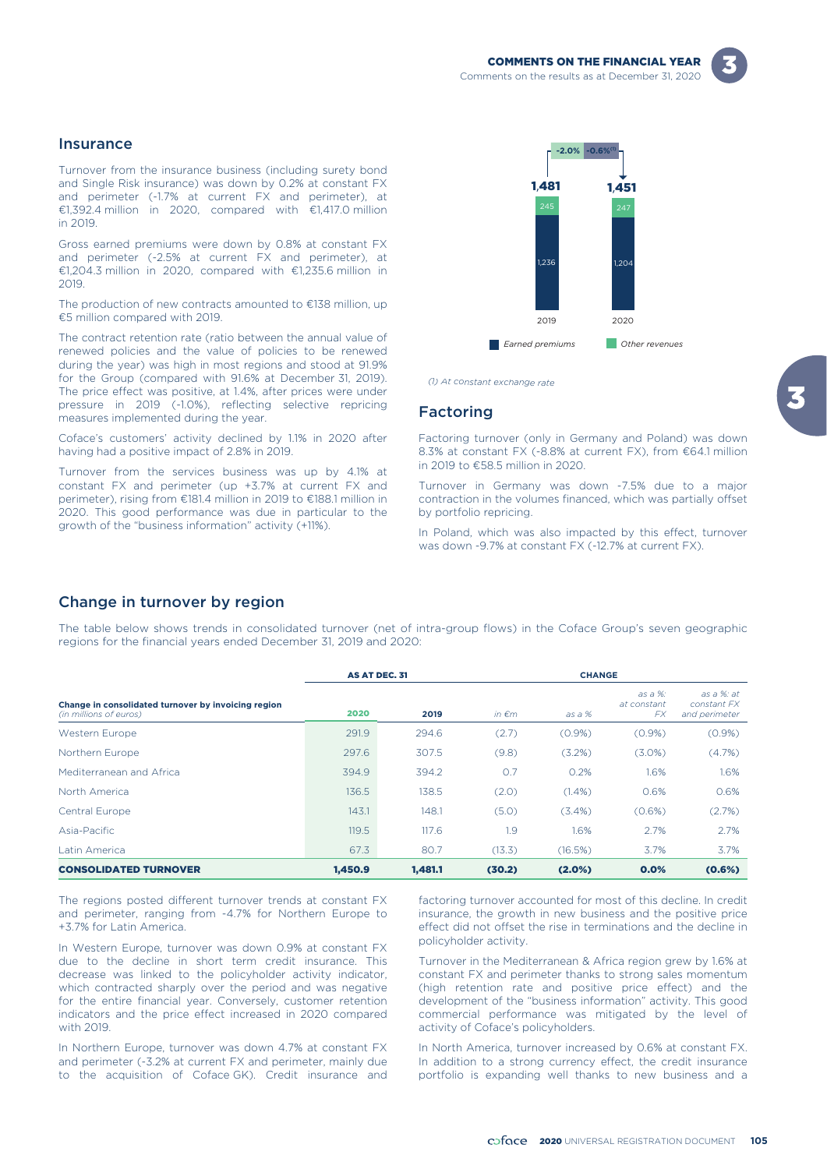#### Insurance

Turnover from the insurance business (including surety bond and Single Risk insurance) was down by 0.2% at constant FX and perimeter (-1.7% at current FX and perimeter), at €1,392.4 million in 2020, compared with €1,417.0 million in 2019.

Gross earned premiums were down by 0.8% at constant FX and perimeter (-2.5% at current FX and perimeter), at €1,204.3 million in 2020, compared with €1,235.6 million in 2019.

The production of new contracts amounted to €138 million, up €5 million compared with 2019.

The contract retention rate (ratio between the annual value of renewed policies and the value of policies to be renewed during the year) was high in most regions and stood at 91.9% for the Group (compared with 91.6% at December 31, 2019). The price effect was positive, at 1.4%, after prices were under pressure in 2019 (-1.0%), reflecting selective repricing measures implemented during the year.

Coface's customers' activity declined by 1.1% in 2020 after having had a positive impact of 2.8% in 2019.

Turnover from the services business was up by 4.1% at constant FX and perimeter (up +3.7% at current FX and perimeter), rising from €181.4 million in 2019 to €188.1 million in 2020. This good performance was due in particular to the growth of the "business information" activity (+11%).



*(1) At constant exchange rate*

#### Factoring

Factoring turnover (only in Germany and Poland) was down 8.3% at constant FX (-8.8% at current FX), from €64.1 million in 2019 to €58.5 million in 2020.

Turnover in Germany was down -7.5% due to a major contraction in the volumes financed, which was partially offset by portfolio repricing.

In Poland, which was also impacted by this effect, turnover was down -9.7% at constant FX (-12.7% at current FX).

#### Change in turnover by region

The table below shows trends in consolidated turnover (net of intra-group flows) in the Coface Group's seven geographic regions for the financial years ended December 31, 2019 and 2020:

|                                                                               |         | <b>AS AT DEC. 31</b> | <b>CHANGE</b>   |           |                                     |                                            |  |
|-------------------------------------------------------------------------------|---------|----------------------|-----------------|-----------|-------------------------------------|--------------------------------------------|--|
| Change in consolidated turnover by invoicing region<br>(in millions of euros) | 2020    | 2019                 | in $\epsilon$ m | $as a %$  | as a %:<br>at constant<br><b>FX</b> | as a %: at<br>constant FX<br>and perimeter |  |
| Western Europe                                                                | 291.9   | 294.6                | (2.7)           | $(0.9\%)$ | $(0.9\%)$                           | $(0.9\%)$                                  |  |
| Northern Europe                                                               | 297.6   | 307.5                | (9.8)           | (3.2%)    | $(3.0\%)$                           | (4.7%)                                     |  |
| Mediterranean and Africa                                                      | 394.9   | 394.2                | O.7             | 0.2%      | 1.6%                                | 1.6%                                       |  |
| North America                                                                 | 136.5   | 138.5                | (2.0)           | $(1.4\%)$ | 0.6%                                | 0.6%                                       |  |
| Central Europe                                                                | 143.1   | 148.1                | (5.0)           | $(3.4\%)$ | (0.6%)                              | (2.7%)                                     |  |
| Asia-Pacific                                                                  | 119.5   | 117.6                | 1.9             | 1.6%      | 2.7%                                | 2.7%                                       |  |
| Latin America                                                                 | 67.3    | 80.7                 | (13.3)          | (16.5%)   | 3.7%                                | 3.7%                                       |  |
| <b>CONSOLIDATED TURNOVER</b>                                                  | 1.450.9 | 1.481.1              | (30.2)          | (2.0%)    | 0.0%                                | (0.6%)                                     |  |

The regions posted different turnover trends at constant FX and perimeter, ranging from -4.7% for Northern Europe to +3.7% for Latin America.

In Western Europe, turnover was down 0.9% at constant FX due to the decline in short term credit insurance. This decrease was linked to the policyholder activity indicator, which contracted sharply over the period and was negative for the entire financial year. Conversely, customer retention indicators and the price effect increased in 2020 compared with 2019.

In Northern Europe, turnover was down 4.7% at constant FX and perimeter (-3.2% at current FX and perimeter, mainly due to the acquisition of Coface GK). Credit insurance and

factoring turnover accounted for most of this decline. In credit insurance, the growth in new business and the positive price effect did not offset the rise in terminations and the decline in policyholder activity.

Turnover in the Mediterranean & Africa region grew by 1.6% at constant FX and perimeter thanks to strong sales momentum (high retention rate and positive price effect) and the development of the "business information" activity. This good commercial performance was mitigated by the level of activity of Coface's policyholders.

In North America, turnover increased by 0.6% at constant FX. In addition to a strong currency effect, the credit insurance portfolio is expanding well thanks to new business and a

2020 UNIVERSAL REGISTRATION DOCUMENT **105**

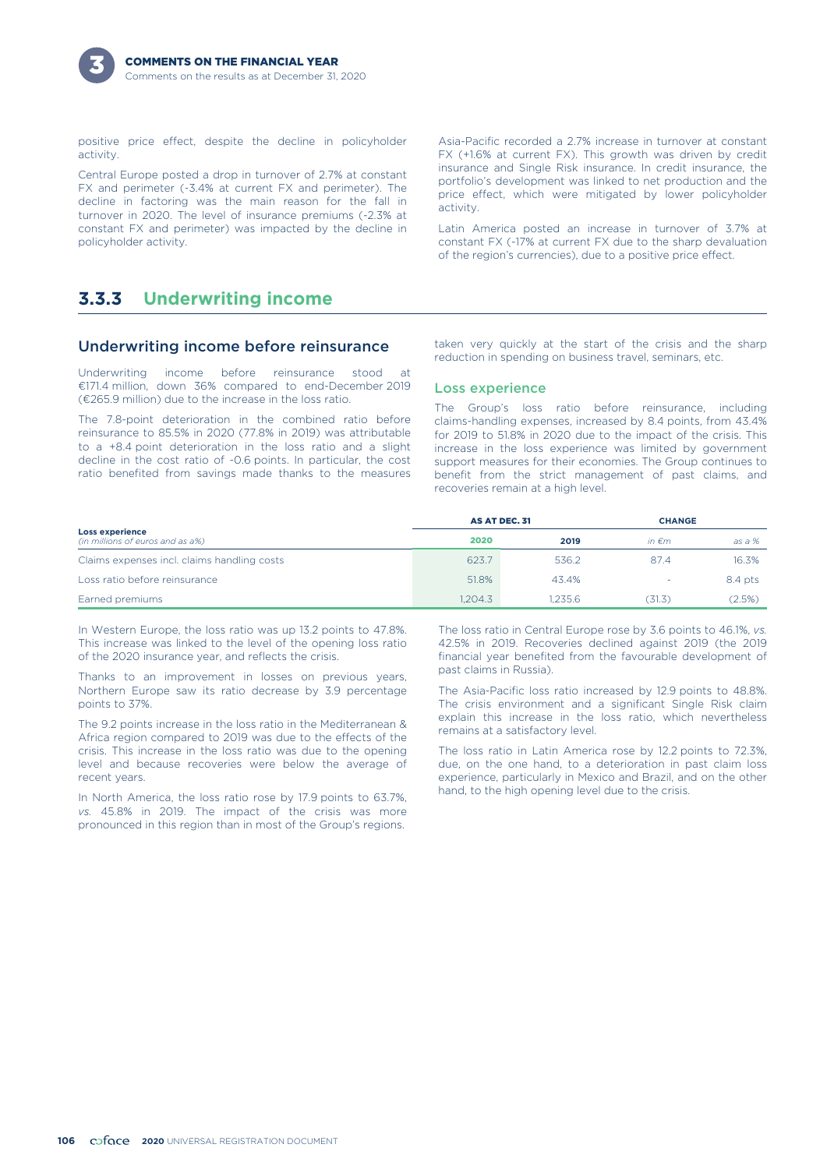

positive price effect, despite the decline in policyholder activity.

Central Europe posted a drop in turnover of 2.7% at constant FX and perimeter (-3.4% at current FX and perimeter). The decline in factoring was the main reason for the fall in turnover in 2020. The level of insurance premiums (-2.3% at constant FX and perimeter) was impacted by the decline in policyholder activity.

## **3.3.3 Underwriting income**

#### Underwriting income before reinsurance

Underwriting income before reinsurance stood at €171.4 million, down 36% compared to end-December 2019 (€265.9 million) due to the increase in the loss ratio.

The 7.8-point deterioration in the combined ratio before reinsurance to 85.5% in 2020 (77.8% in 2019) was attributable to a +8.4 point deterioration in the loss ratio and a slight decline in the cost ratio of -0.6 points. In particular, the cost ratio benefited from savings made thanks to the measures

Asia-Pacific recorded a 2.7% increase in turnover at constant FX (+1.6% at current FX). This growth was driven by credit insurance and Single Risk insurance. In credit insurance, the portfolio's development was linked to net production and the price effect, which were mitigated by lower policyholder activity.

Latin America posted an increase in turnover of 3.7% at constant FX (-17% at current FX due to the sharp devaluation of the region's currencies), due to a positive price effect.

taken very quickly at the start of the crisis and the sharp reduction in spending on business travel, seminars, etc.

#### Loss experience

The Group's loss ratio before reinsurance, including claims-handling expenses, increased by 8.4 points, from 43.4% for 2019 to 51.8% in 2020 due to the impact of the crisis. This increase in the loss experience was limited by government support measures for their economies. The Group continues to benefit from the strict management of past claims, and recoveries remain at a high level.

|                                                            | AS AT DEC. 31 |         |                 | <b>CHANGE</b> |  |
|------------------------------------------------------------|---------------|---------|-----------------|---------------|--|
| <b>Loss experience</b><br>(in millions of euros and as a%) | 2020          | 2019    | in $\epsilon$ m | as a %        |  |
| Claims expenses incl. claims handling costs                | 623.7         | 536.2   | 87.4            | 16.3%         |  |
| Loss ratio before reinsurance                              | 51.8%         | 43.4%   | $\rightarrow$   | 8.4 pts       |  |
| Earned premiums                                            | 1.204.3       | 1.235.6 | (31.3)          | (2.5%)        |  |

In Western Europe, the loss ratio was up 13.2 points to 47.8%. This increase was linked to the level of the opening loss ratio of the 2020 insurance year, and reflects the crisis.

Thanks to an improvement in losses on previous years, Northern Europe saw its ratio decrease by 3.9 percentage points to 37%.

The 9.2 points increase in the loss ratio in the Mediterranean & Africa region compared to 2019 was due to the effects of the crisis. This increase in the loss ratio was due to the opening level and because recoveries were below the average of recent years.

In North America, the loss ratio rose by 17.9 points to 63.7%, *vs.* 45.8% in 2019. The impact of the crisis was more pronounced in this region than in most of the Group's regions.

The loss ratio in Central Europe rose by 3.6 points to 46.1%, *vs.* 42.5% in 2019. Recoveries declined against 2019 (the 2019 financial year benefited from the favourable development of past claims in Russia).

The Asia-Pacific loss ratio increased by 12.9 points to 48.8%. The crisis environment and a significant Single Risk claim explain this increase in the loss ratio, which nevertheless remains at a satisfactory level.

The loss ratio in Latin America rose by 12.2 points to 72.3%, due, on the one hand, to a deterioration in past claim loss experience, particularly in Mexico and Brazil, and on the other hand, to the high opening level due to the crisis.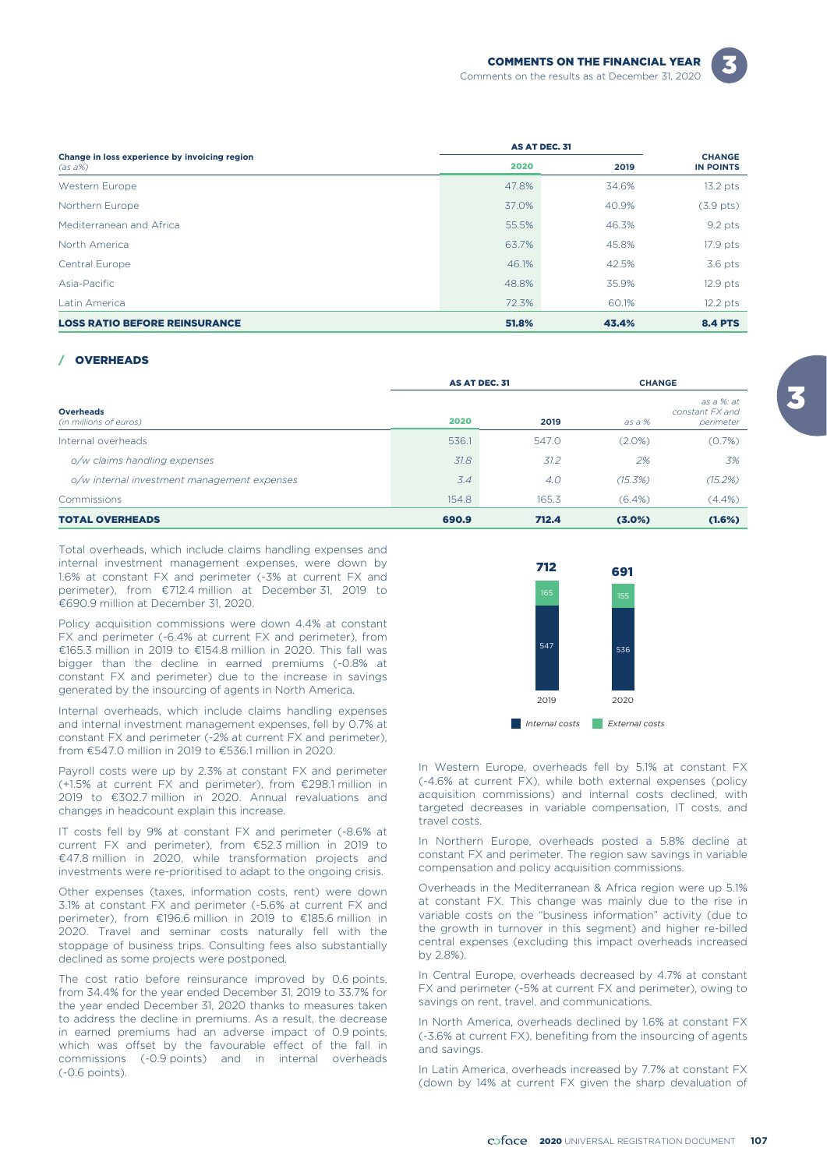

|                                                          | AS AT DEC. 31 |       |                                   |
|----------------------------------------------------------|---------------|-------|-----------------------------------|
| Change in loss experience by invoicing region<br>(as a%) | 2020          | 2019  | <b>CHANGE</b><br><b>IN POINTS</b> |
| Western Europe                                           | 47.8%         | 34.6% | $13.2$ pts                        |
| Northern Europe                                          | 37.0%         | 40.9% | $(3.9$ pts)                       |
| Mediterranean and Africa                                 | 55.5%         | 46.3% | $9.2$ pts                         |
| North America                                            | 63.7%         | 45.8% | 17.9 pts                          |
| Central Europe                                           | 46.1%         | 42.5% | $3.6$ pts                         |
| Asia-Pacific                                             | 48.8%         | 35.9% | $12.9$ pts                        |
| Latin America                                            | 72.3%         | 60.1% | $12.2$ pts                        |
| <b>LOSS RATIO BEFORE REINSURANCE</b>                     | 51.8%         | 43.4% | <b>8.4 PTS</b>                    |

#### **OVERHEADS**

|                                             | AS AT DEC. 31 |       |           | <b>CHANGE</b>                              |  |
|---------------------------------------------|---------------|-------|-----------|--------------------------------------------|--|
| <b>Overheads</b><br>(in millions of euros)  | 2020          | 2019  | $as a %$  | as a %: at<br>constant FX and<br>perimeter |  |
| Internal overheads                          | 536.1         | 547.0 | $(2.0\%)$ | (0.7%)                                     |  |
| o/w claims handling expenses                | 31.8          | 31.2  | 2%        | 3%                                         |  |
| o/w internal investment management expenses | 3.4           | 4.0   | (15.3%)   | (15.2%)                                    |  |
| Commissions                                 | 154.8         | 165.3 | $(6.4\%)$ | $(4.4\%)$                                  |  |
| <b>TOTAL OVERHEADS</b>                      | 690.9         | 712.4 | (3.0%)    | (1.6%)                                     |  |

Total overheads, which include claims handling expenses and internal investment management expenses, were down by 1.6% at constant FX and perimeter (-3% at current FX and perimeter), from €712.4 million at December 31, 2019 to €690.9 million at December 31, 2020.

Policy acquisition commissions were down 4.4% at constant FX and perimeter (-6.4% at current FX and perimeter), from €165.3 million in 2019 to €154.8 million in 2020. This fall was bigger than the decline in earned premiums (-0.8% at constant FX and perimeter) due to the increase in savings generated by the insourcing of agents in North America.

Internal overheads, which include claims handling expenses and internal investment management expenses, fell by 0.7% at constant FX and perimeter (-2% at current FX and perimeter), from €547.0 million in 2019 to €536.1 million in 2020.

Payroll costs were up by 2.3% at constant FX and perimeter (+1.5% at current FX and perimeter), from €298.1 million in 2019 to €302.7 million in 2020. Annual revaluations and changes in headcount explain this increase.

IT costs fell by 9% at constant FX and perimeter (-8.6% at current FX and perimeter), from €52.3 million in 2019 to €47.8 million in 2020, while transformation projects and investments were re-prioritised to adapt to the ongoing crisis.

Other expenses (taxes, information costs, rent) were down 3.1% at constant FX and perimeter (-5.6% at current FX and perimeter), from €196.6 million in 2019 to €185.6 million in 2020. Travel and seminar costs naturally fell with the stoppage of business trips. Consulting fees also substantially declined as some projects were postponed.

The cost ratio before reinsurance improved by 0.6 points, from 34.4% for the year ended December 31, 2019 to 33.7% for the year ended December 31, 2020 thanks to measures taken to address the decline in premiums. As a result, the decrease in earned premiums had an adverse impact of 0.9 points, which was offset by the favourable effect of the fall in commissions (-0.9 points) and in internal overheads (-0.6 points).



In Western Europe, overheads fell by 5.1% at constant FX (-4.6% at current FX), while both external expenses (policy acquisition commissions) and internal costs declined, with targeted decreases in variable compensation, IT costs, and travel costs.

In Northern Europe, overheads posted a 5.8% decline at constant FX and perimeter. The region saw savings in variable compensation and policy acquisition commissions.

Overheads in the Mediterranean & Africa region were up 5.1% at constant FX. This change was mainly due to the rise in variable costs on the "business information" activity (due to the growth in turnover in this segment) and higher re-billed central expenses (excluding this impact overheads increased by 2.8%).

In Central Europe, overheads decreased by 4.7% at constant FX and perimeter (-5% at current FX and perimeter), owing to savings on rent, travel, and communications.

In North America, overheads declined by 1.6% at constant FX (-3.6% at current FX), benefiting from the insourcing of agents and savings.

In Latin America, overheads increased by 7.7% at constant FX (down by 14% at current FX given the sharp devaluation of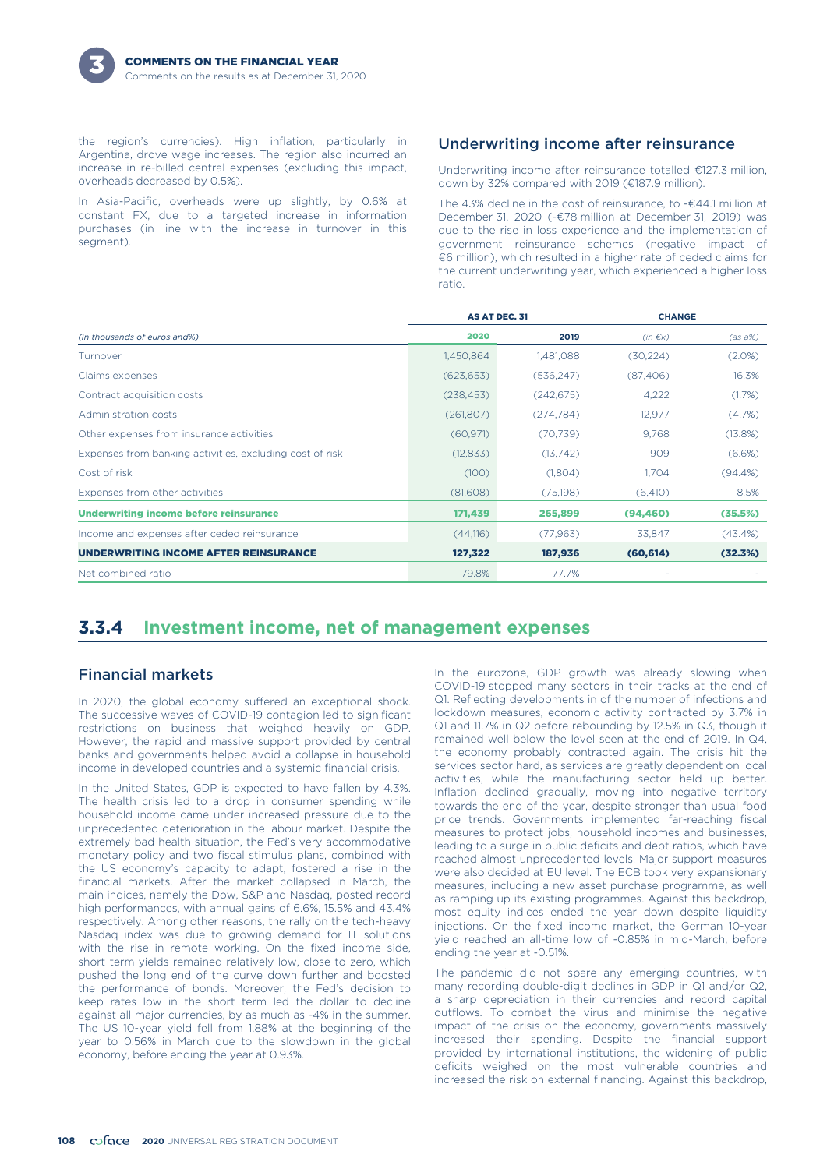the region's currencies). High inflation, particularly in Argentina, drove wage increases. The region also incurred an increase in re-billed central expenses (excluding this impact, overheads decreased by 0.5%).

In Asia-Pacific, overheads were up slightly, by 0.6% at constant FX, due to a targeted increase in information purchases (in line with the increase in turnover in this segment).

### Underwriting income after reinsurance

Underwriting income after reinsurance totalled €127.3 million, down by 32% compared with 2019 (€187.9 million).

The 43% decline in the cost of reinsurance, to -€44.1 million at December 31, 2020 (-€78 million at December 31, 2019) was due to the rise in loss experience and the implementation of government reinsurance schemes (negative impact of €6 million), which resulted in a higher rate of ceded claims for the current underwriting year, which experienced a higher loss ratio.

|                                                          | <b>AS AT DEC. 31</b> |            | <b>CHANGE</b> |            |
|----------------------------------------------------------|----------------------|------------|---------------|------------|
| (in thousands of euros and%)                             | 2020                 | 2019       | $(in \in k)$  | $(as a\%)$ |
| Turnover                                                 | 1,450,864            | 1,481,088  | (30, 224)     | $(2.0\%)$  |
| Claims expenses                                          | (623, 653)           | (536, 247) | (87, 406)     | 16.3%      |
| Contract acquisition costs                               | (238, 453)           | (242, 675) | 4,222         | (1.7%)     |
| Administration costs                                     | (261,807)            | (274, 784) | 12,977        | (4.7%)     |
| Other expenses from insurance activities                 | (60, 971)            | (70, 739)  | 9,768         | (13.8%)    |
| Expenses from banking activities, excluding cost of risk | (12, 833)            | (13,742)   | 909           | (6.6%)     |
| Cost of risk                                             | (100)                | (1,804)    | 1.704         | $(94.4\%)$ |
| Expenses from other activities                           | (81,608)             | (75,198)   | (6, 410)      | 8.5%       |
| Underwriting income before reinsurance                   | 171,439              | 265,899    | (94, 460)     | (35.5%)    |
| Income and expenses after ceded reinsurance              | (44,116)             | (77, 963)  | 33,847        | (43.4%)    |
| <b>UNDERWRITING INCOME AFTER REINSURANCE</b>             | 127,322              | 187,936    | (60, 614)     | (32.3%)    |
| Net combined ratio                                       | 79.8%                | 77.7%      |               |            |

# **3.3.4 Investment income, net of management expenses**

### Financial markets

In 2020, the global economy suffered an exceptional shock. The successive waves of COVID-19 contagion led to significant restrictions on business that weighed heavily on GDP. However, the rapid and massive support provided by central banks and governments helped avoid a collapse in household income in developed countries and a systemic financial crisis.

In the United States, GDP is expected to have fallen by 4.3%. The health crisis led to a drop in consumer spending while household income came under increased pressure due to the unprecedented deterioration in the labour market. Despite the extremely bad health situation, the Fed's very accommodative monetary policy and two fiscal stimulus plans, combined with the US economy's capacity to adapt, fostered a rise in the financial markets. After the market collapsed in March, the main indices, namely the Dow, S&P and Nasdaq, posted record high performances, with annual gains of 6.6%, 15.5% and 43.4% respectively. Among other reasons, the rally on the tech-heavy Nasdaq index was due to growing demand for IT solutions with the rise in remote working. On the fixed income side, short term yields remained relatively low, close to zero, which pushed the long end of the curve down further and boosted the performance of bonds. Moreover, the Fed's decision to keep rates low in the short term led the dollar to decline against all major currencies, by as much as -4% in the summer. The US 10-year yield fell from 1.88% at the beginning of the year to 0.56% in March due to the slowdown in the global economy, before ending the year at 0.93%.

In the eurozone, GDP growth was already slowing when COVID-19 stopped many sectors in their tracks at the end of Q1. Reflecting developments in of the number of infections and lockdown measures, economic activity contracted by 3.7% in Q1 and 11.7% in Q2 before rebounding by 12.5% in Q3, though it remained well below the level seen at the end of 2019. In Q4, the economy probably contracted again. The crisis hit the services sector hard, as services are greatly dependent on local activities, while the manufacturing sector held up better. Inflation declined gradually, moving into negative territory towards the end of the year, despite stronger than usual food price trends. Governments implemented far-reaching fiscal measures to protect jobs, household incomes and businesses, leading to a surge in public deficits and debt ratios, which have reached almost unprecedented levels. Major support measures were also decided at EU level. The ECB took very expansionary measures, including a new asset purchase programme, as well as ramping up its existing programmes. Against this backdrop, most equity indices ended the year down despite liquidity injections. On the fixed income market, the German 10-year yield reached an all-time low of -0.85% in mid-March, before ending the year at -0.51%.

The pandemic did not spare any emerging countries, with many recording double-digit declines in GDP in Q1 and/or Q2, a sharp depreciation in their currencies and record capital outflows. To combat the virus and minimise the negative impact of the crisis on the economy, governments massively increased their spending. Despite the financial support provided by international institutions, the widening of public deficits weighed on the most vulnerable countries and increased the risk on external financing. Against this backdrop,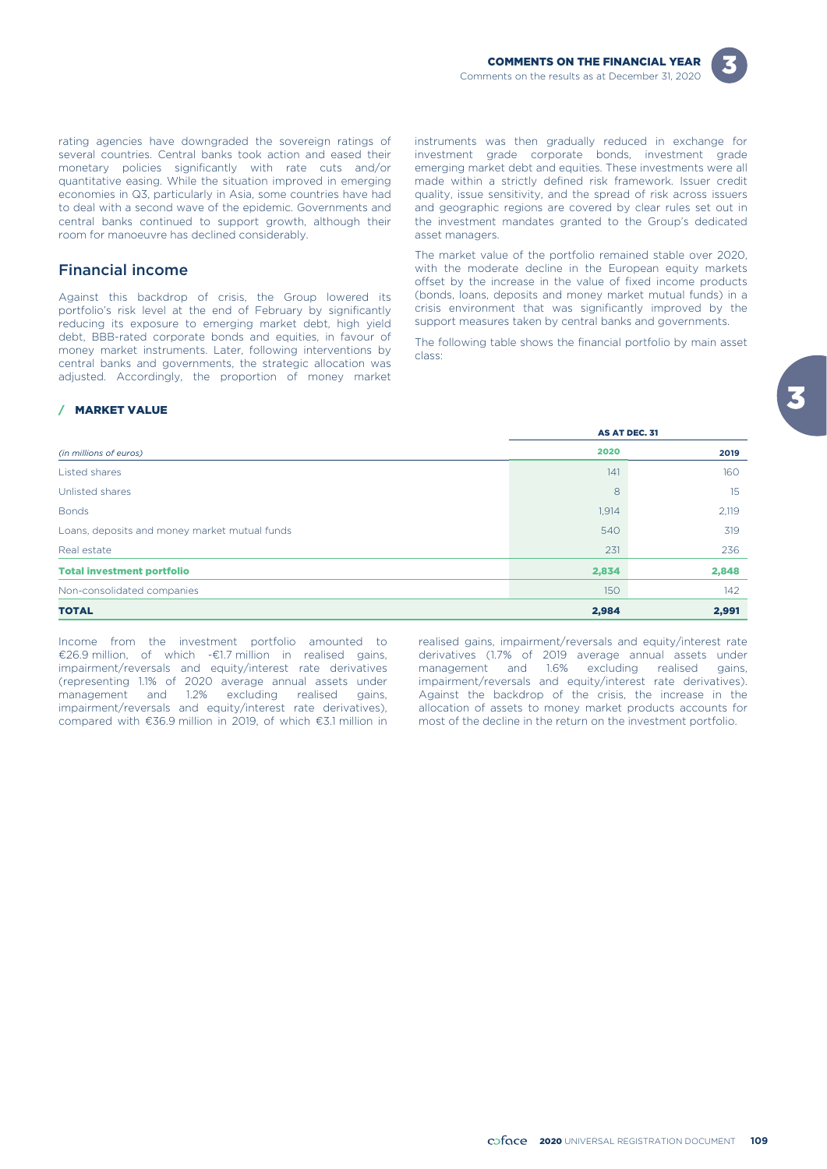

rating agencies have downgraded the sovereign ratings of several countries. Central banks took action and eased their monetary policies significantly with rate cuts and/or quantitative easing. While the situation improved in emerging economies in Q3, particularly in Asia, some countries have had to deal with a second wave of the epidemic. Governments and central banks continued to support growth, although their room for manoeuvre has declined considerably.

### Financial income

Against this backdrop of crisis, the Group lowered its portfolio's risk level at the end of February by significantly reducing its exposure to emerging market debt, high yield debt, BBB-rated corporate bonds and equities, in favour of money market instruments. Later, following interventions by central banks and governments, the strategic allocation was adjusted. Accordingly, the proportion of money market instruments was then gradually reduced in exchange for investment grade corporate bonds, investment grade emerging market debt and equities. These investments were all made within a strictly defined risk framework. Issuer credit quality, issue sensitivity, and the spread of risk across issuers and geographic regions are covered by clear rules set out in the investment mandates granted to the Group's dedicated asset managers.

The market value of the portfolio remained stable over 2020, with the moderate decline in the European equity markets offset by the increase in the value of fixed income products (bonds, loans, deposits and money market mutual funds) in a crisis environment that was significantly improved by the support measures taken by central banks and governments.

The following table shows the financial portfolio by main asset class:

#### / MARKET VALUE

|                                               |       | AS AT DEC. 31 |
|-----------------------------------------------|-------|---------------|
| (in millions of euros)                        | 2020  | 2019          |
| Listed shares                                 | 141   | 160           |
| Unlisted shares                               | 8     | 15            |
| <b>Bonds</b>                                  | 1,914 | 2,119         |
| Loans, deposits and money market mutual funds | 540   | 319           |
| Real estate                                   | 231   | 236           |
| <b>Total investment portfolio</b>             | 2,834 | 2,848         |
| Non-consolidated companies                    | 150   | 142           |
| <b>TOTAL</b>                                  | 2,984 | 2,991         |

Income from the investment portfolio amounted to realised gains, impairment/reversals and equity/interest rate  $\epsilon$ 26.9 million, of which - $\epsilon$ 1.7 million in realised gains, derivatives (1.7% of 2019 average annual assets €26.9 million, of which -€1.7 million in realised gains, derivatives (1.7% of 2019 average annual assets under (representing 1.1% of 2020 average annual assets under<br>management and 1.2% excluding realised gains, management and 1.2% excluding realised gains, Against the backdrop of the crisis, the increase in the impairment/reversals and equity/interest rate derivatives), allocation of assets to money market products accounts for compared with  $\epsilon$ 36.9 million in 2019, of which  $\epsilon$ 3.1 million in most of the decline in the return compared with  $\epsilon$ 36.9 million in 2019, of which  $\epsilon$ 3.1 million in

management and 1.6% excluding realised gains,<br>impairment/reversals and equity/interest rate derivatives).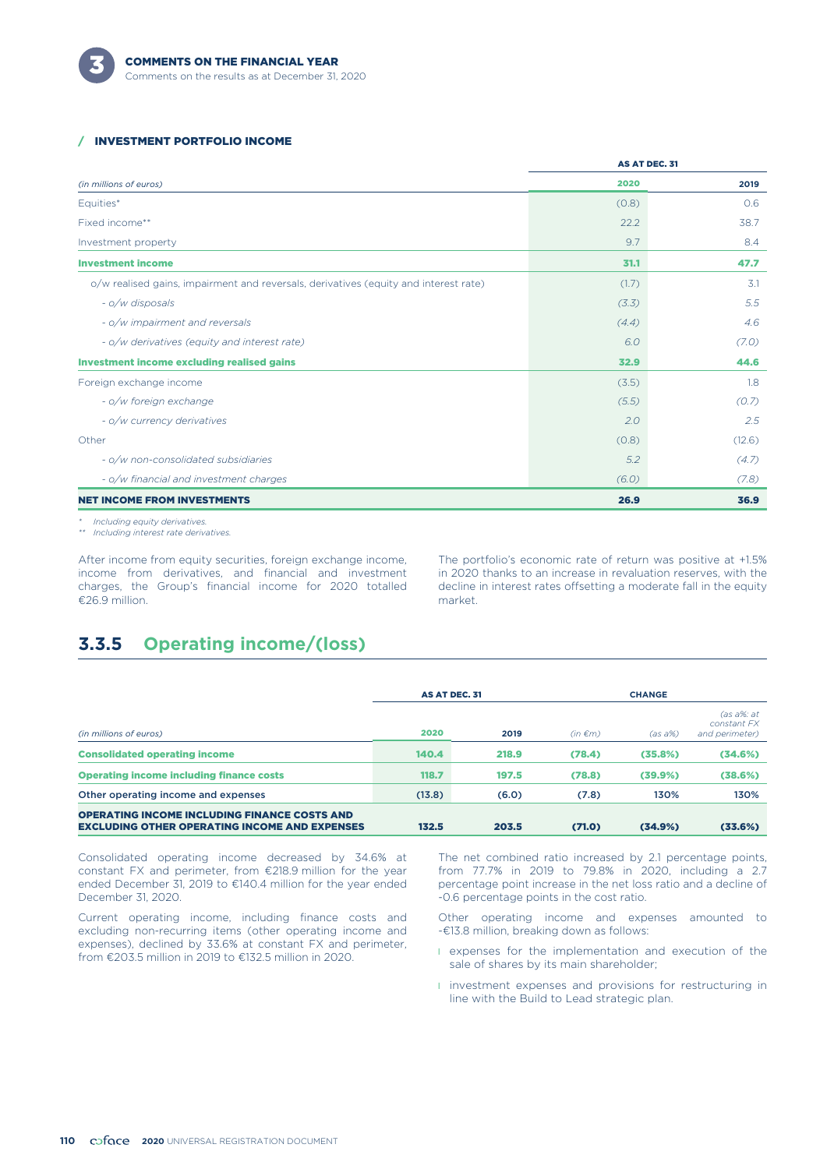

#### / INVESTMENT PORTFOLIO INCOME

|                                                                                      |       | AS AT DEC. 31 |
|--------------------------------------------------------------------------------------|-------|---------------|
| (in millions of euros)                                                               | 2020  | 2019          |
| Equities*                                                                            | (0.8) | 0.6           |
| Fixed income**                                                                       | 22.2  | 38.7          |
| Investment property                                                                  | 9.7   | 8.4           |
| <b>Investment income</b>                                                             | 31.1  | 47.7          |
| o/w realised gains, impairment and reversals, derivatives (equity and interest rate) | (1.7) | 3.1           |
| - o/w disposals                                                                      | (3.3) | 5.5           |
| - o/w impairment and reversals                                                       | (4.4) | 4.6           |
| - o/w derivatives (equity and interest rate)                                         | 6.0   | (7.0)         |
| <b>Investment income excluding realised gains</b>                                    | 32.9  | 44.6          |
| Foreign exchange income                                                              | (3.5) | 1.8           |
| - o/w foreign exchange                                                               | (5.5) | (0.7)         |
| - o/w currency derivatives                                                           | 2.0   | 2.5           |
| Other                                                                                | (0.8) | (12.6)        |
| - o/w non-consolidated subsidiaries                                                  | 5.2   | (4.7)         |
| - o/w financial and investment charges                                               | (6.0) | (7.8)         |
| <b>NET INCOME FROM INVESTMENTS</b>                                                   | 26.9  | 36.9          |
|                                                                                      |       |               |

*\* Including equity derivatives.*

*\*\* Including interest rate derivatives.*

After income from equity securities, foreign exchange income, income from derivatives, and financial and investment charges, the Group's financial income for 2020 totalled €26.9 million.

The portfolio's economic rate of return was positive at +1.5% in 2020 thanks to an increase in revaluation reserves, with the decline in interest rates offsetting a moderate fall in the equity market.

# **3.3.5 Operating income/(loss)**

|                                                                                                             |        | AS AT DEC. 31 |              | <b>CHANGE</b> |                                                |  |
|-------------------------------------------------------------------------------------------------------------|--------|---------------|--------------|---------------|------------------------------------------------|--|
| (in millions of euros)                                                                                      | 2020   | 2019          | $(in \in m)$ | $(as a\%)$    | $(as\ a\%:at$<br>constant FX<br>and perimeter) |  |
| <b>Consolidated operating income</b>                                                                        | 140.4  | 218.9         | (78.4)       | (35.8%)       | (34.6%)                                        |  |
| <b>Operating income including finance costs</b>                                                             | 118.7  | 197.5         | (78.8)       | (39.9%)       | (38.6%)                                        |  |
| Other operating income and expenses                                                                         | (13.8) | (6.0)         | (7.8)        | 130%          | 130%                                           |  |
| <b>OPERATING INCOME INCLUDING FINANCE COSTS AND</b><br><b>EXCLUDING OTHER OPERATING INCOME AND EXPENSES</b> | 132.5  | 203.5         | (71.0)       | (34.9%)       | (33.6%)                                        |  |

Consolidated operating income decreased by 34.6% at constant FX and perimeter, from €218.9 million for the year ended December 31, 2019 to €140.4 million for the year ended December 31, 2020.

Current operating income, including finance costs and excluding non-recurring items (other operating income and expenses), declined by 33.6% at constant FX and perimeter, from €203.5 million in 2019 to €132.5 million in 2020.

The net combined ratio increased by 2.1 percentage points, from 77.7% in 2019 to 79.8% in 2020, including a 2.7 percentage point increase in the net loss ratio and a decline of -0.6 percentage points in the cost ratio.

Other operating income and expenses amounted to -€13.8 million, breaking down as follows:

- l expenses for the implementation and execution of the sale of shares by its main shareholder;
- **I** investment expenses and provisions for restructuring in line with the Build to Lead strategic plan.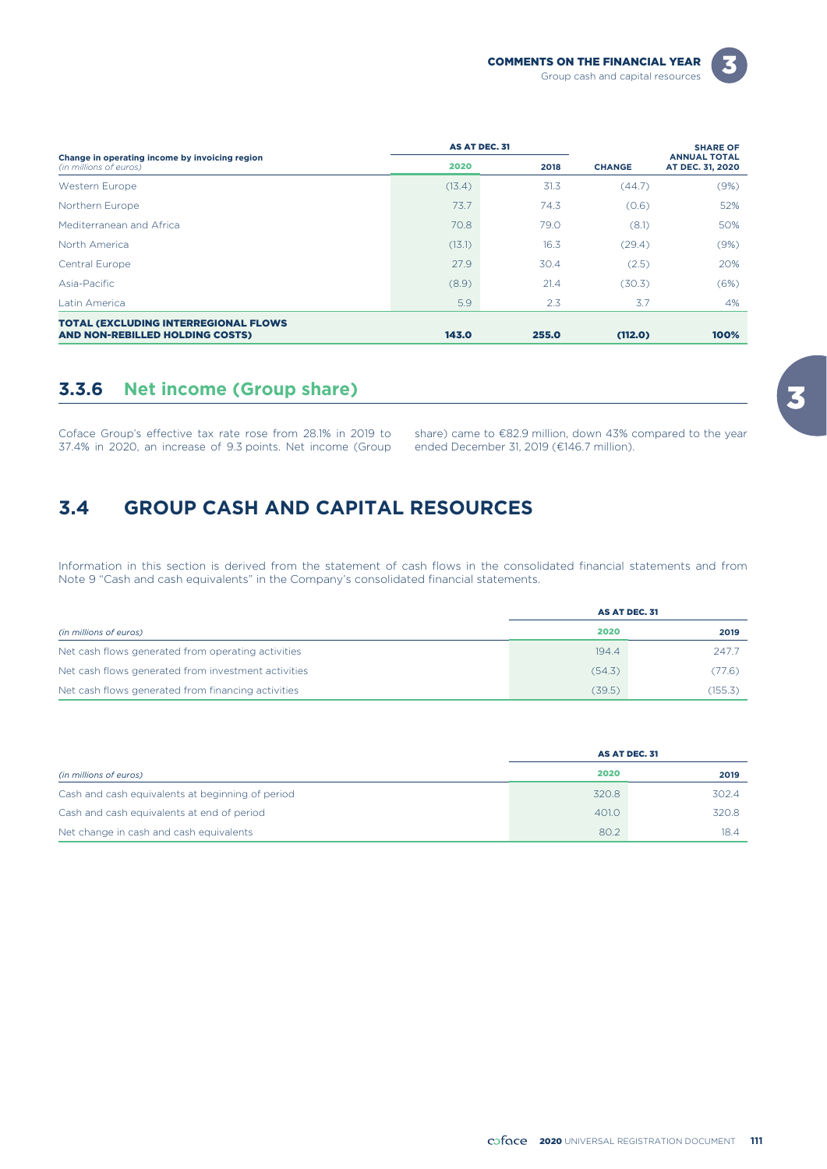| - |  |
|---|--|
|   |  |

|                                                                          |        | <b>AS AT DEC. 31</b> |               | <b>SHARE OF</b>                         |  |
|--------------------------------------------------------------------------|--------|----------------------|---------------|-----------------------------------------|--|
| Change in operating income by invoicing region<br>(in millions of euros) | 2020   | 2018                 | <b>CHANGE</b> | <b>ANNUAL TOTAL</b><br>AT DEC. 31, 2020 |  |
| Western Europe                                                           | (13.4) | 31.3                 | (44.7)        | (9%)                                    |  |
| Northern Europe                                                          | 73.7   | 74.3                 | (0.6)         | 52%                                     |  |
| Mediterranean and Africa                                                 | 70.8   | 79.0                 | (8.1)         | 50%                                     |  |
| North America                                                            | (13.1) | 16.3                 | (29.4)        | (9%)                                    |  |
| Central Europe                                                           | 27.9   | 30.4                 | (2.5)         | 20%                                     |  |
| Asia-Pacific                                                             | (8.9)  | 21.4                 | (30.3)        | (6%)                                    |  |
| Latin America                                                            | 5.9    | 2.3                  | 3.7           | 4%                                      |  |
| <b>TOTAL (EXCLUDING INTERREGIONAL FLOWS</b>                              |        |                      |               |                                         |  |
| AND NON-REBILLED HOLDING COSTS)                                          | 143.0  | 255.0                | (112.0)       | 100%                                    |  |

# **3.3.6 Net income (Group share)**

Coface Group's effective tax rate rose from 28.1% in 2019 to share) came to  $\epsilon$ 82.9 million, down 43% compared to the year 37.4% in 2020, an increase of 9.3 points. Net income (Group ended December 31, 2019 ( $\epsilon$ 146.7 mi 37.4% in 2020, an increase of 9.3 points. Net income (Group

# **3.4 GROUP CASH AND CAPITAL RESOURCES**

Information in this section is derived from the statement of cash flows in the consolidated financial statements and from Note 9 "Cash and cash equivalents" in the Company's consolidated financial statements.

|                                                     | AS AT DEC. 31 |         |  |
|-----------------------------------------------------|---------------|---------|--|
| (in millions of euros)                              | 2020          | 2019    |  |
| Net cash flows generated from operating activities  | 194.4         | 247.7   |  |
| Net cash flows generated from investment activities | (54.3)        | (77.6)  |  |
| Net cash flows generated from financing activities  | (39.5)        | (155.3) |  |

|                                                  | AS AT DEC. 31 |       |
|--------------------------------------------------|---------------|-------|
| (in millions of euros)                           | 2020          | 2019  |
| Cash and cash equivalents at beginning of period | 320.8         | 302.4 |
| Cash and cash equivalents at end of period       | 401.0         | 320.8 |
| Net change in cash and cash equivalents          | 80.2          | 18.4  |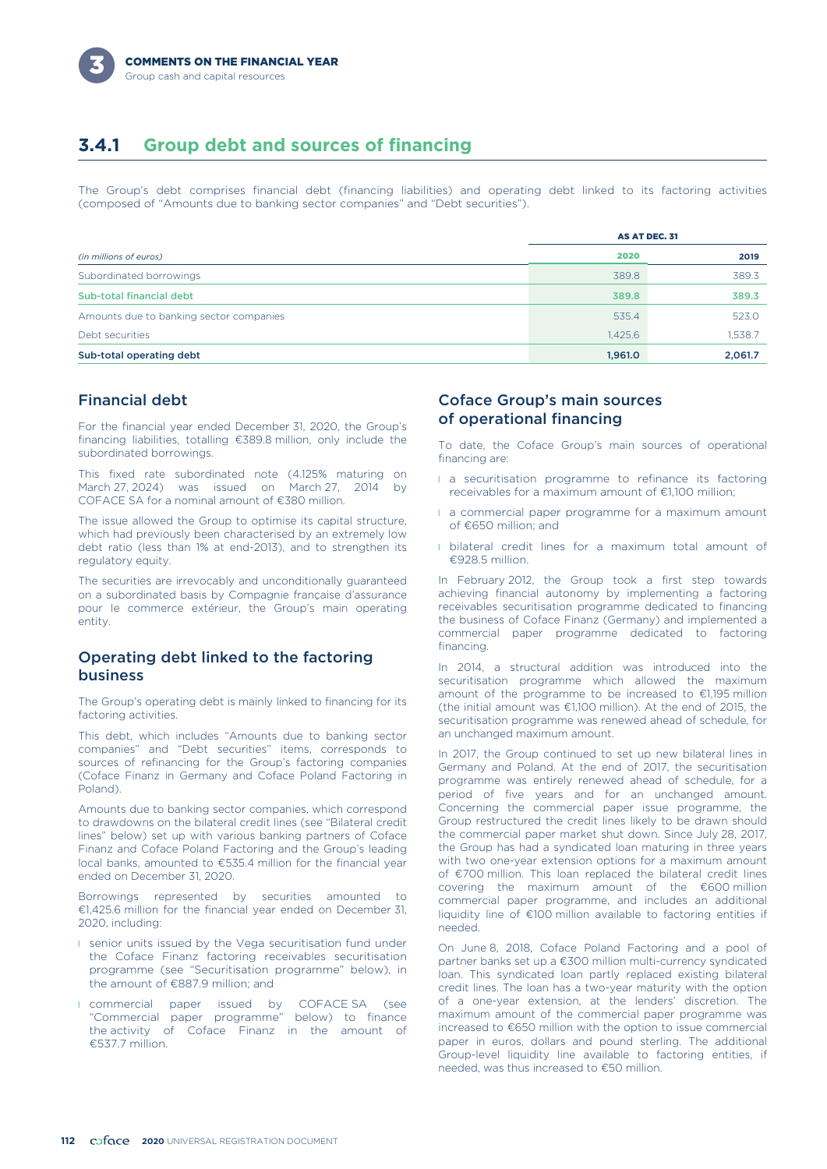# **3.4.1 Group debt and sources of financing**

The Group's debt comprises financial debt (financing liabilities) and operating debt linked to its factoring activities (composed of "Amounts due to banking sector companies" and "Debt securities").

|                                         |         | AS AT DEC. 31 |
|-----------------------------------------|---------|---------------|
| (in millions of euros)                  | 2020    | 2019          |
| Subordinated borrowings                 | 389.8   | 389.3         |
| Sub-total financial debt                | 389.8   | 389.3         |
| Amounts due to banking sector companies | 535.4   | 523.0         |
| Debt securities                         | 1,425.6 | 1,538.7       |
| Sub-total operating debt                | 1,961.0 | 2,061.7       |

### Financial debt

For the financial year ended December 31, 2020, the Group's financing liabilities, totalling €389.8 million, only include the subordinated borrowings.

This fixed rate subordinated note (4.125% maturing on March 27, 2024) was issued on March 27, 2014 by COFACE SA for a nominal amount of €380 million.

The issue allowed the Group to optimise its capital structure, which had previously been characterised by an extremely low debt ratio (less than 1% at end-2013), and to strengthen its regulatory equity.

The securities are irrevocably and unconditionally guaranteed on a subordinated basis by Compagnie française d'assurance pour le commerce extérieur, the Group's main operating entity.

### Operating debt linked to the factoring business

The Group's operating debt is mainly linked to financing for its factoring activities.

This debt, which includes "Amounts due to banking sector companies" and "Debt securities" items, corresponds to sources of refinancing for the Group's factoring companies (Coface Finanz in Germany and Coface Poland Factoring in Poland).

Amounts due to banking sector companies, which correspond to drawdowns on the bilateral credit lines (see "Bilateral credit lines" below) set up with various banking partners of Coface Finanz and Coface Poland Factoring and the Group's leading local banks, amounted to €535.4 million for the financial year ended on December 31, 2020.

Borrowings represented by securities amounted to €1,425.6 million for the financial year ended on December 31, 2020, including:

- **I** senior units issued by the Vega securitisation fund under the Coface Finanz factoring receivables securitisation programme (see "Securitisation programme" below), in the amount of €887.9 million; and
- **I** commercial paper issued by COFACE SA (see "Commercial paper programme" below) to finance the activity of Coface Finanz in the amount of €537.7 million.

### Coface Group's main sources of operational financing

To date, the Coface Group's main sources of operational financing are:

- **a** securitisation programme to refinance its factoring receivables for a maximum amount of €1,100 million;
- **a** commercial paper programme for a maximum amount of €650 million; and
- **I** bilateral credit lines for a maximum total amount of  $£928.5$  million.

In February 2012, the Group took a first step towards achieving financial autonomy by implementing a factoring receivables securitisation programme dedicated to financing the business of Coface Finanz (Germany) and implemented a commercial paper programme dedicated to factoring financing.

In 2014, a structural addition was introduced into the securitisation programme which allowed the maximum amount of the programme to be increased to €1,195 million (the initial amount was €1,100 million). At the end of 2015, the securitisation programme was renewed ahead of schedule, for an unchanged maximum amount.

In 2017, the Group continued to set up new bilateral lines in Germany and Poland. At the end of 2017, the securitisation programme was entirely renewed ahead of schedule, for a period of five years and for an unchanged amount. Concerning the commercial paper issue programme, the Group restructured the credit lines likely to be drawn should the commercial paper market shut down. Since July 28, 2017, the Group has had a syndicated loan maturing in three years with two one-year extension options for a maximum amount of €700 million. This loan replaced the bilateral credit lines covering the maximum amount of the €600 million commercial paper programme, and includes an additional liquidity line of €100 million available to factoring entities if needed.

On June 8, 2018, Coface Poland Factoring and a pool of partner banks set up a €300 million multi-currency syndicated loan. This syndicated loan partly replaced existing bilateral credit lines. The loan has a two-year maturity with the option of a one-year extension, at the lenders' discretion. The maximum amount of the commercial paper programme was increased to €650 million with the option to issue commercial paper in euros, dollars and pound sterling. The additional Group-level liquidity line available to factoring entities, if needed, was thus increased to €50 million.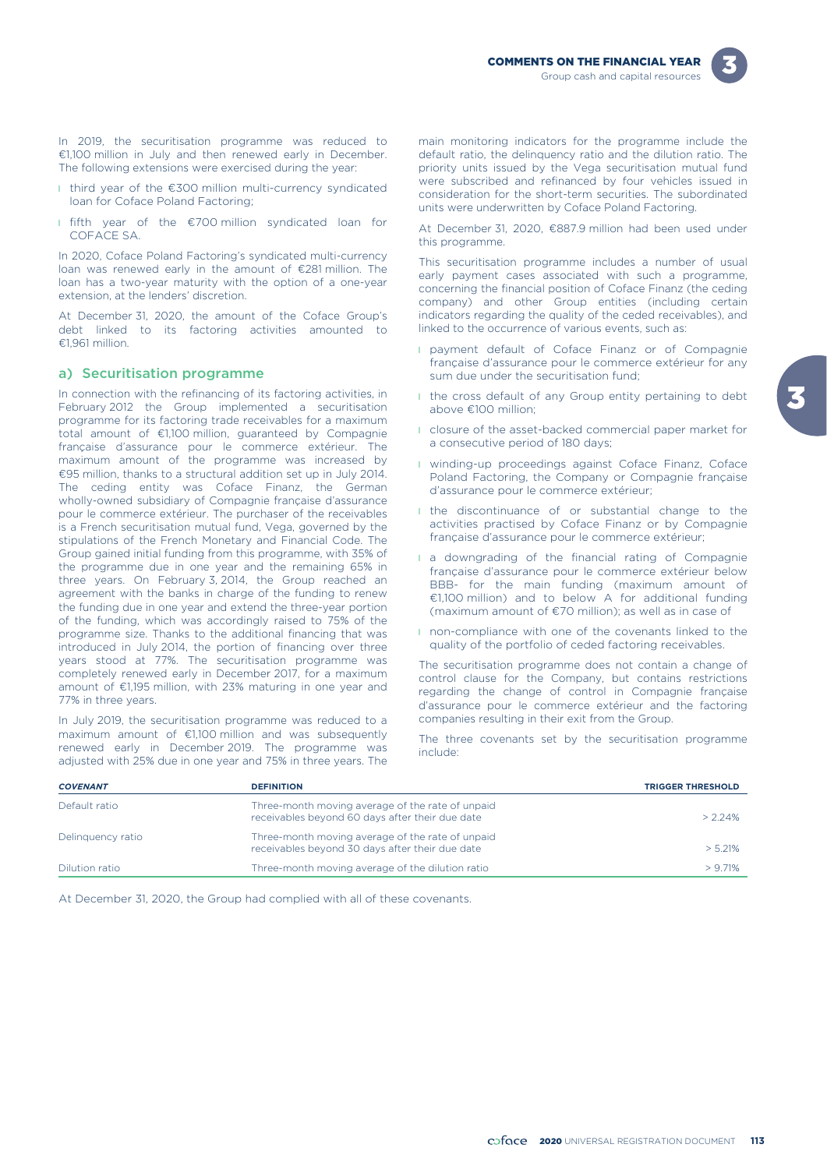



In 2019, the securitisation programme was reduced to €1,100 million in July and then renewed early in December. The following extensions were exercised during the year:

- l third year of the €300 million multi-currency syndicated loan for Coface Poland Factoring;
- l fifth year of the €700 million syndicated loan for COFACE SA.

In 2020, Coface Poland Factoring's syndicated multi-currency loan was renewed early in the amount of €281 million. The loan has a two-year maturity with the option of a one-year extension, at the lenders' discretion.

At December 31, 2020, the amount of the Coface Group's debt linked to its factoring activities amounted to €1,961 million.

#### a) Securitisation programme

In connection with the refinancing of its factoring activities, in February 2012 the Group implemented a securitisation programme for its factoring trade receivables for a maximum total amount of €1,100 million, guaranteed by Compagnie française d'assurance pour le commerce extérieur. The maximum amount of the programme was increased by €95 million, thanks to a structural addition set up in July 2014. The ceding entity was Coface Finanz, the German wholly-owned subsidiary of Compagnie française d'assurance pour le commerce extérieur. The purchaser of the receivables is a French securitisation mutual fund, Vega, governed by the stipulations of the French Monetary and Financial Code. The Group gained initial funding from this programme, with 35% of the programme due in one year and the remaining 65% in three years. On February 3, 2014, the Group reached an agreement with the banks in charge of the funding to renew the funding due in one year and extend the three-year portion of the funding, which was accordingly raised to 75% of the programme size. Thanks to the additional financing that was introduced in July 2014, the portion of financing over three years stood at 77%. The securitisation programme was completely renewed early in December 2017, for a maximum amount of €1,195 million, with 23% maturing in one year and 77% in three years.

In July 2019, the securitisation programme was reduced to a maximum amount of €1,100 million and was subsequently renewed early in December 2019. The programme was adjusted with 25% due in one year and 75% in three years. The

main monitoring indicators for the programme include the default ratio, the delinquency ratio and the dilution ratio. The priority units issued by the Vega securitisation mutual fund were subscribed and refinanced by four vehicles issued in consideration for the short-term securities. The subordinated units were underwritten by Coface Poland Factoring.

At December 31, 2020, €887.9 million had been used under this programme.

This securitisation programme includes a number of usual early payment cases associated with such a programme, concerning the financial position of Coface Finanz (the ceding company) and other Group entities (including certain indicators regarding the quality of the ceded receivables), and linked to the occurrence of various events, such as:

- **I** payment default of Coface Finanz or of Compagnie française d'assurance pour le commerce extérieur for any sum due under the securitisation fund;
- I the cross default of any Group entity pertaining to debt above €100 million;
- **I** closure of the asset-backed commercial paper market for a consecutive period of 180 days;
- **I** winding-up proceedings against Coface Finanz, Coface Poland Factoring, the Company or Compagnie française d'assurance pour le commerce extérieur;
- **I** the discontinuance of or substantial change to the activities practised by Coface Finanz or by Compagnie française d'assurance pour le commerce extérieur;
- $\blacksquare$  a downgrading of the financial rating of Compagnie française d'assurance pour le commerce extérieur below BBB- for the main funding (maximum amount of €1,100 million) and to below A for additional funding (maximum amount of €70 million); as well as in case of
- **I** non-compliance with one of the covenants linked to the quality of the portfolio of ceded factoring receivables.

The securitisation programme does not contain a change of control clause for the Company, but contains restrictions regarding the change of control in Compagnie française d'assurance pour le commerce extérieur and the factoring companies resulting in their exit from the Group.

The three covenants set by the securitisation programme include:

| <b>COVENANT</b>   | <b>DEFINITION</b>                                                                                   | <b>TRIGGER THRESHOLD</b> |
|-------------------|-----------------------------------------------------------------------------------------------------|--------------------------|
| Default ratio     | Three-month moving average of the rate of unpaid<br>receivables beyond 60 days after their due date | $> 2.24\%$               |
| Delinguency ratio | Three-month moving average of the rate of unpaid<br>receivables beyond 30 days after their due date | $> 5.21\%$               |
| Dilution ratio    | Three-month moving average of the dilution ratio                                                    | $> 9.71\%$               |

At December 31, 2020, the Group had complied with all of these covenants.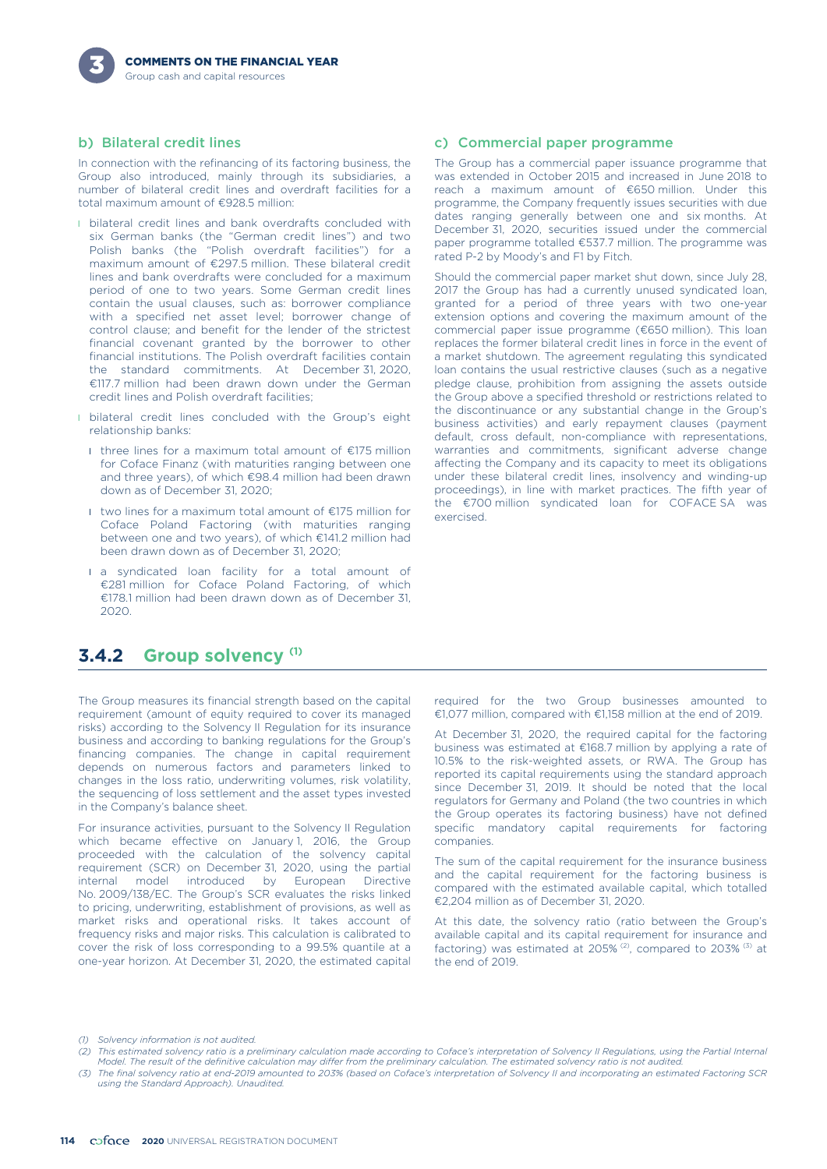#### b) Bilateral credit lines

In connection with the refinancing of its factoring business, the Group also introduced, mainly through its subsidiaries, a number of bilateral credit lines and overdraft facilities for a total maximum amount of €928.5 million:

- **I** bilateral credit lines and bank overdrafts concluded with six German banks (the "German credit lines") and two Polish banks (the "Polish overdraft facilities") for a maximum amount of €297.5 million. These bilateral credit lines and bank overdrafts were concluded for a maximum period of one to two years. Some German credit lines contain the usual clauses, such as: borrower compliance with a specified net asset level; borrower change of control clause; and benefit for the lender of the strictest financial covenant granted by the borrower to other financial institutions. The Polish overdraft facilities contain the standard commitments. At December 31, 2020, €117.7 million had been drawn down under the German credit lines and Polish overdraft facilities;
- **I** bilateral credit lines concluded with the Group's eight relationship banks:
	- l three lines for a maximum total amount of €175 million for Coface Finanz (with maturities ranging between one and three years), of which €98.4 million had been drawn down as of December 31, 2020;
	- l two lines for a maximum total amount of €175 million for Coface Poland Factoring (with maturities ranging between one and two years), of which €141.2 million had been drawn down as of December 31, 2020;
	- I a syndicated loan facility for a total amount of €281 million for Coface Poland Factoring, of which €178.1 million had been drawn down as of December 31, 2020.

#### c) Commercial paper programme

The Group has a commercial paper issuance programme that was extended in October 2015 and increased in June 2018 to reach a maximum amount of €650 million. Under this programme, the Company frequently issues securities with due dates ranging generally between one and six months. At December 31, 2020, securities issued under the commercial paper programme totalled €537.7 million. The programme was rated P-2 by Moody's and F1 by Fitch.

Should the commercial paper market shut down, since July 28, 2017 the Group has had a currently unused syndicated loan, granted for a period of three years with two one-year extension options and covering the maximum amount of the commercial paper issue programme (€650 million). This loan replaces the former bilateral credit lines in force in the event of a market shutdown. The agreement regulating this syndicated loan contains the usual restrictive clauses (such as a negative pledge clause, prohibition from assigning the assets outside the Group above a specified threshold or restrictions related to the discontinuance or any substantial change in the Group's business activities) and early repayment clauses (payment default, cross default, non-compliance with representations, warranties and commitments, significant adverse change affecting the Company and its capacity to meet its obligations under these bilateral credit lines, insolvency and winding-up proceedings), in line with market practices. The fifth year of the €700 million syndicated loan for COFACE SA was exercised.

## **Group solvency (1) 3.4.2**

The Group measures its financial strength based on the capital requirement (amount of equity required to cover its managed risks) according to the Solvency II Regulation for its insurance business and according to banking regulations for the Group's financing companies. The change in capital requirement depends on numerous factors and parameters linked to changes in the loss ratio, underwriting volumes, risk volatility, the sequencing of loss settlement and the asset types invested in the Company's balance sheet.

For insurance activities, pursuant to the Solvency II Regulation which became effective on January 1, 2016, the Group proceeded with the calculation of the solvency capital requirement (SCR) on December 31, 2020, using the partial internal model introduced by European Directive No. 2009/138/EC. The Group's SCR evaluates the risks linked to pricing, underwriting, establishment of provisions, as well as market risks and operational risks. It takes account of frequency risks and major risks. This calculation is calibrated to cover the risk of loss corresponding to a 99.5% quantile at a one-year horizon. At December 31, 2020, the estimated capital required for the two Group businesses amounted to €1,077 million, compared with €1,158 million at the end of 2019.

At December 31, 2020, the required capital for the factoring business was estimated at €168.7 million by applying a rate of 10.5% to the risk-weighted assets, or RWA. The Group has reported its capital requirements using the standard approach since December 31, 2019. It should be noted that the local regulators for Germany and Poland (the two countries in which the Group operates its factoring business) have not defined specific mandatory capital requirements for factoring companies.

The sum of the capital requirement for the insurance business and the capital requirement for the factoring business is compared with the estimated available capital, which totalled €2,204 million as of December 31, 2020.

At this date, the solvency ratio (ratio between the Group's available capital and its capital requirement for insurance and factoring) was estimated at 205% (2), compared to 203% (3) at the end of 2019.

*(1) Solvency information is not audited.*

*<sup>(2)</sup> This estimated solvency ratio is a preliminary calculation made according to Coface's interpretation of Solvency II Regulations, using the Partial Internal Model. The result of the definitive calculation may differ from the preliminary calculation. The estimated solvency ratio is not audited.*

*<sup>(3)</sup> The final solvency ratio at end-2019 amounted to 203% (based on Coface's interpretation of Solvency II and incorporating an estimated Factoring SCR using the Standard Approach). Unaudited.*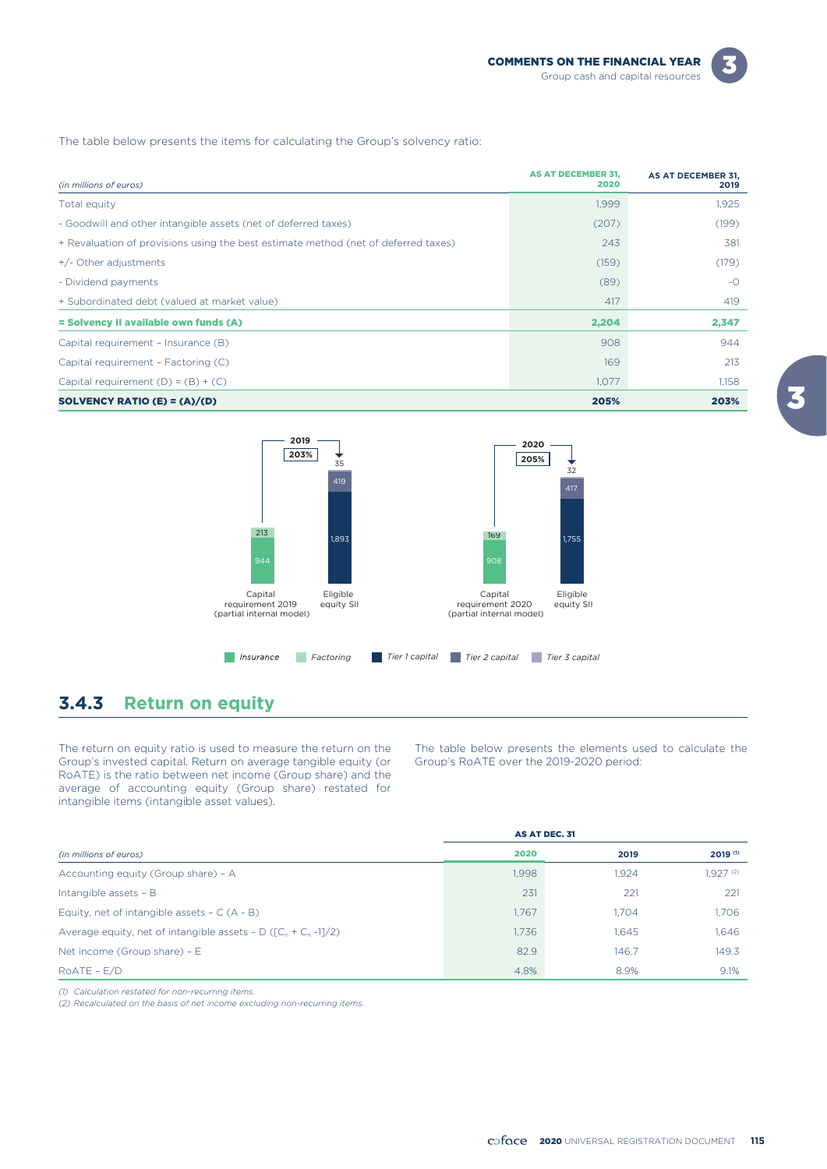The table below presents the items for calculating the Group's solvency ratio:

| (in millions of euros)                                                             | <b>AS AT DECEMBER 31,</b><br>2020 | AS AT DECEMBER 31,<br>2019 |
|------------------------------------------------------------------------------------|-----------------------------------|----------------------------|
| Total equity                                                                       | 1,999                             | 1,925                      |
| - Goodwill and other intangible assets (net of deferred taxes)                     | (207)                             | (199)                      |
| + Revaluation of provisions using the best estimate method (net of deferred taxes) | 243                               | 381                        |
| +/- Other adjustments                                                              | (159)                             | (179)                      |
| - Dividend payments                                                                | (89)                              | $-$ O                      |
| + Subordinated debt (valued at market value)                                       | 417                               | 419                        |
| = Solvency II available own funds (A)                                              | 2,204                             | 2,347                      |
| Capital requirement - Insurance (B)                                                | 908                               | 944                        |
| Capital requirement - Factoring (C)                                                | 169                               | 213                        |
| Capital requirement $(D) = (B) + (C)$                                              | 1,077                             | 1,158                      |
| SOLVENCY RATIO (E) = $(A)/(D)$                                                     | 205%                              | 203%                       |



# **3.4.3 Return on equity**

The return on equity ratio is used to measure the return on the Group's invested capital. Return on average tangible equity (or RoATE) is the ratio between net income (Group share) and the average of accounting equity (Group share) restated for intangible items (intangible asset values).

The table below presents the elements used to calculate the Group's RoATE over the 2019-2020 period:

|                                                                                  | AS AT DEC. 31 |       |               |
|----------------------------------------------------------------------------------|---------------|-------|---------------|
| (in millions of euros)                                                           | 2020          | 2019  | $2019^{(1)}$  |
| Accounting equity (Group share) - A                                              | 1.998         | 1.924 | $1.927^{(2)}$ |
| Intangible assets - B                                                            | 231           | 221   | 221           |
| Equity, net of intangible assets $- C (A - B)$                                   | 1.767         | 1.704 | 1.706         |
| Average equity, net of intangible assets - D ( $\lceil C_n + C_n - 1 \rceil/2$ ) | 1.736         | 1.645 | 1.646         |
| Net income (Group share) - $E$                                                   | 82.9          | 146.7 | 149.3         |
| $ROATE - E/D$                                                                    | 4.8%          | 8.9%  | 9.1%          |

*(1) Calculation restated for non-recurring items.*

*(2) Recalculated on the basis of net income excluding non-recurring items.*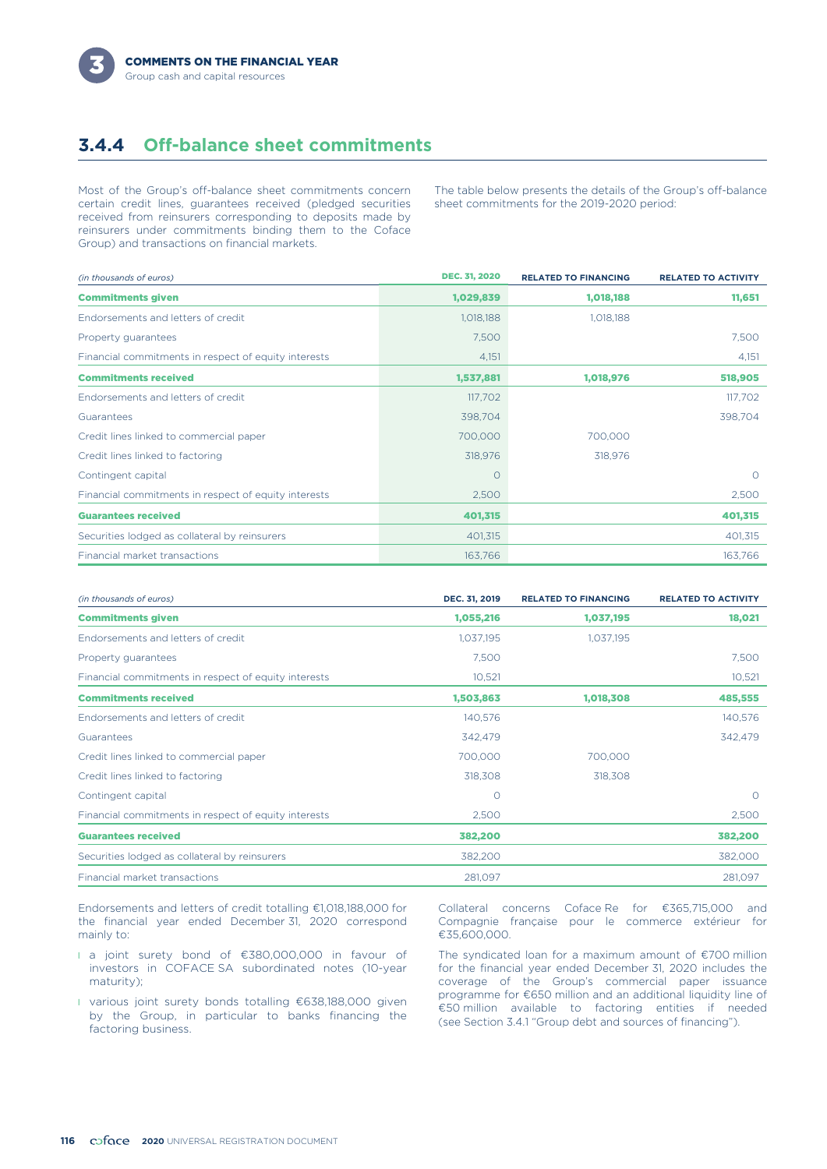

# **3.4.4 Off-balance sheet commitments**

Most of the Group's off-balance sheet commitments concern certain credit lines, guarantees received (pledged securities received from reinsurers corresponding to deposits made by reinsurers under commitments binding them to the Coface Group) and transactions on financial markets.

The table below presents the details of the Group's off-balance sheet commitments for the 2019-2020 period:

| (in thousands of euros)                              | <b>DEC. 31, 2020</b> | <b>RELATED TO FINANCING</b> | <b>RELATED TO ACTIVITY</b> |
|------------------------------------------------------|----------------------|-----------------------------|----------------------------|
| <b>Commitments given</b>                             | 1,029,839            | 1,018,188                   | 11,651                     |
| Endorsements and letters of credit                   | 1,018,188            | 1,018,188                   |                            |
| Property guarantees                                  | 7,500                |                             | 7,500                      |
| Financial commitments in respect of equity interests | 4,151                |                             | 4,151                      |
| <b>Commitments received</b>                          | 1,537,881            | 1,018,976                   | 518,905                    |
| Endorsements and letters of credit                   | 117,702              |                             | 117,702                    |
| Guarantees                                           | 398,704              |                             | 398,704                    |
| Credit lines linked to commercial paper              | 700,000              | 700,000                     |                            |
| Credit lines linked to factoring                     | 318,976              | 318,976                     |                            |
| Contingent capital                                   | $\circ$              |                             | $\circ$                    |
| Financial commitments in respect of equity interests | 2,500                |                             | 2,500                      |
| <b>Guarantees received</b>                           | 401,315              |                             | 401,315                    |
| Securities lodged as collateral by reinsurers        | 401,315              |                             | 401,315                    |
| Financial market transactions                        | 163,766              |                             | 163,766                    |

| (in thousands of euros)                              | DEC. 31, 2019 | <b>RELATED TO FINANCING</b> | <b>RELATED TO ACTIVITY</b> |
|------------------------------------------------------|---------------|-----------------------------|----------------------------|
| <b>Commitments given</b>                             | 1,055,216     | 1,037,195                   | 18,021                     |
| Endorsements and letters of credit                   | 1,037,195     | 1,037,195                   |                            |
| Property guarantees                                  | 7,500         |                             | 7,500                      |
| Financial commitments in respect of equity interests | 10,521        |                             | 10,521                     |
| <b>Commitments received</b>                          | 1,503,863     | 1,018,308                   | 485,555                    |
| Endorsements and letters of credit                   | 140,576       |                             | 140,576                    |
| Guarantees                                           | 342,479       |                             | 342,479                    |
| Credit lines linked to commercial paper              | 700,000       | 700,000                     |                            |
| Credit lines linked to factoring                     | 318,308       | 318,308                     |                            |
| Contingent capital                                   | $\circ$       |                             | $\circ$                    |
| Financial commitments in respect of equity interests | 2,500         |                             | 2,500                      |
| <b>Guarantees received</b>                           | 382,200       |                             | 382,200                    |
| Securities lodged as collateral by reinsurers        | 382,200       |                             | 382,000                    |
| Financial market transactions                        | 281,097       |                             | 281,097                    |

Endorsements and letters of credit totalling €1,018,188,000 for the financial year ended December 31, 2020 correspond mainly to:

- l a joint surety bond of €380,000,000 in favour of investors in COFACE SA subordinated notes (10-year maturity);
- l various joint surety bonds totalling €638,188,000 given by the Group, in particular to banks financing the factoring business.

Collateral concerns Coface Re for €365,715,000 and Compagnie française pour le commerce extérieur for €35,600,000.

The syndicated loan for a maximum amount of €700 million for the financial year ended December 31, 2020 includes the coverage of the Group's commercial paper issuance programme for €650 million and an additional liquidity line of €50 million available to factoring entities if needed (see Section 3.4.1 "Group debt and sources of financing").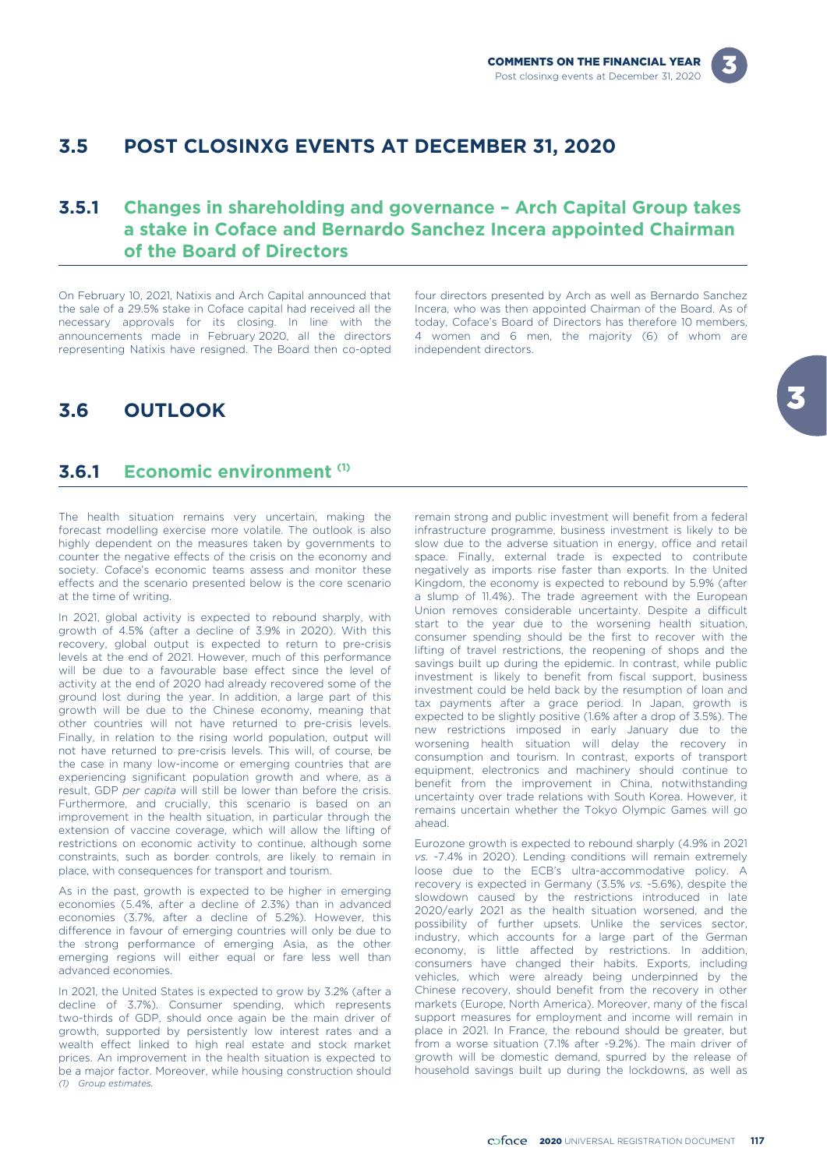

## **3.5 POST CLOSINXG EVENTS AT DECEMBER 31, 2020**

## **3.5.1 Changes in shareholding and governance – Arch Capital Group takes a stake in Coface and Bernardo Sanchez Incera appointed Chairman of the Board of Directors**

On February 10, 2021, Natixis and Arch Capital announced that four directors presented by Arch as well as Bernardo Sanchez<br>the sale of a 29.5% stake in Coface capital had received all the Incera, who was then appointed Cha announcements made in February 2020, all the directors representing Natixis have resigned. The Board then co-opted independent directors.

Incera, who was then appointed Chairman of the Board. As of necessary approvals for its closing. In line with the today, Coface's Board of Directors has therefore 10 members, announcements made in February 2020, all the directors 4 women and 6 men, the majority (6) of whom are

## **3.6 OUTLOOK**

### **Economic environment (1) 3.6.1**

The health situation remains very uncertain, making the forecast modelling exercise more volatile. The outlook is also highly dependent on the measures taken by governments to counter the negative effects of the crisis on the economy and society. Coface's economic teams assess and monitor these effects and the scenario presented below is the core scenario at the time of writing.

In 2021, global activity is expected to rebound sharply, with growth of 4.5% (after a decline of 3.9% in 2020). With this recovery, global output is expected to return to pre-crisis levels at the end of 2021. However, much of this performance will be due to a favourable base effect since the level of activity at the end of 2020 had already recovered some of the ground lost during the year. In addition, a large part of this growth will be due to the Chinese economy, meaning that other countries will not have returned to pre-crisis levels. Finally, in relation to the rising world population, output will not have returned to pre-crisis levels. This will, of course, be the case in many low-income or emerging countries that are experiencing significant population growth and where, as a result, GDP *per capita* will still be lower than before the crisis. Furthermore, and crucially, this scenario is based on an improvement in the health situation, in particular through the extension of vaccine coverage, which will allow the lifting of restrictions on economic activity to continue, although some constraints, such as border controls, are likely to remain in place, with consequences for transport and tourism.

As in the past, growth is expected to be higher in emerging economies (5.4%, after a decline of 2.3%) than in advanced economies (3.7%, after a decline of 5.2%). However, this difference in favour of emerging countries will only be due to the strong performance of emerging Asia, as the other emerging regions will either equal or fare less well than advanced economies.

In 2021, the United States is expected to grow by 3.2% (after a decline of 3.7%). Consumer spending, which represents two-thirds of GDP, should once again be the main driver of growth, supported by persistently low interest rates and a wealth effect linked to high real estate and stock market prices. An improvement in the health situation is expected to be a major factor. Moreover, while housing construction should *(1) Group estimates.*

remain strong and public investment will benefit from a federal infrastructure programme, business investment is likely to be slow due to the adverse situation in energy, office and retail space. Finally, external trade is expected to contribute negatively as imports rise faster than exports. In the United Kingdom, the economy is expected to rebound by 5.9% (after a slump of 11.4%). The trade agreement with the European Union removes considerable uncertainty. Despite a difficult start to the year due to the worsening health situation, consumer spending should be the first to recover with the lifting of travel restrictions, the reopening of shops and the savings built up during the epidemic. In contrast, while public investment is likely to benefit from fiscal support, business investment could be held back by the resumption of loan and tax payments after a grace period. In Japan, growth is expected to be slightly positive (1.6% after a drop of 3.5%). The new restrictions imposed in early January due to the worsening health situation will delay the recovery in consumption and tourism. In contrast, exports of transport equipment, electronics and machinery should continue to benefit from the improvement in China, notwithstanding uncertainty over trade relations with South Korea. However, it remains uncertain whether the Tokyo Olympic Games will go ahead.

Eurozone growth is expected to rebound sharply (4.9% in 2021 *vs.* -7.4% in 2020). Lending conditions will remain extremely loose due to the ECB's ultra-accommodative policy. A recovery is expected in Germany (3.5% *vs.* -5.6%), despite the slowdown caused by the restrictions introduced in late 2020/early 2021 as the health situation worsened, and the possibility of further upsets. Unlike the services sector, industry, which accounts for a large part of the German economy, is little affected by restrictions. In addition, consumers have changed their habits. Exports, including vehicles, which were already being underpinned by the Chinese recovery, should benefit from the recovery in other markets (Europe, North America). Moreover, many of the fiscal support measures for employment and income will remain in place in 2021. In France, the rebound should be greater, but from a worse situation (7.1% after -9.2%). The main driver of growth will be domestic demand, spurred by the release of household savings built up during the lockdowns, as well as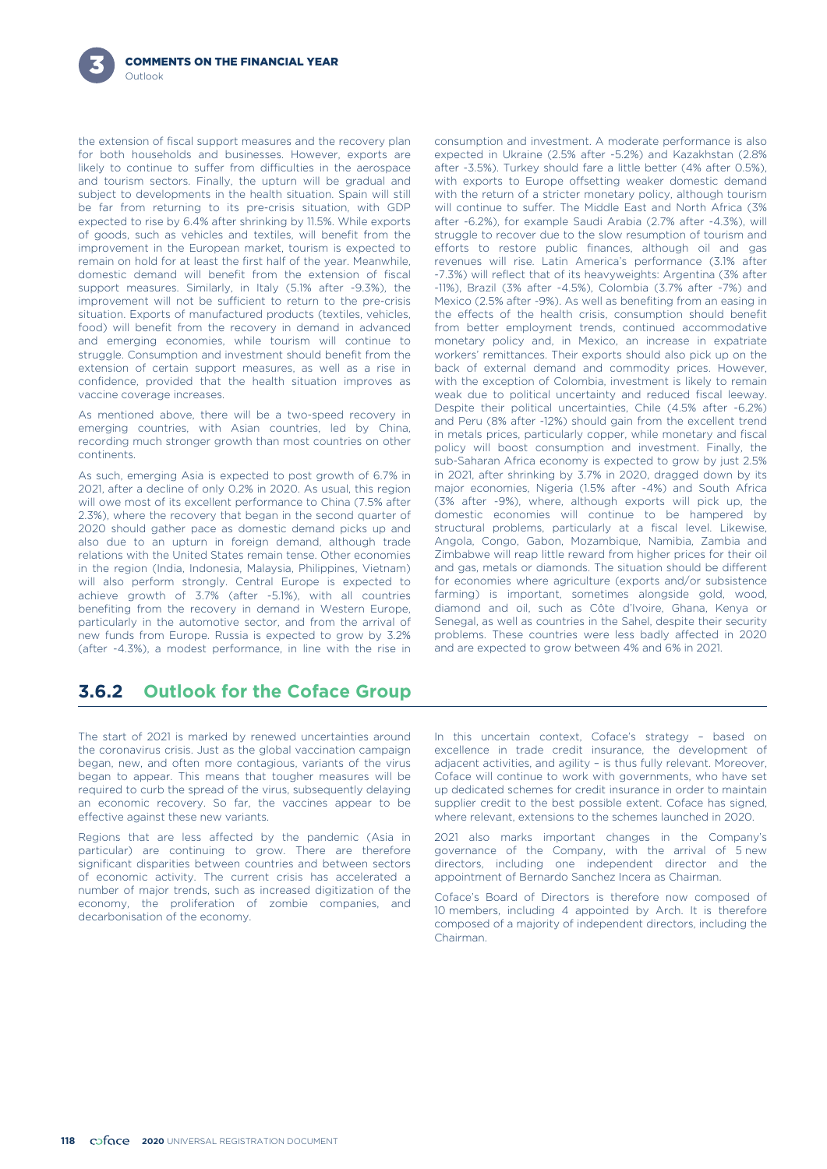the extension of fiscal support measures and the recovery plan for both households and businesses. However, exports are likely to continue to suffer from difficulties in the aerospace and tourism sectors. Finally, the upturn will be gradual and subject to developments in the health situation. Spain will still be far from returning to its pre-crisis situation, with GDP expected to rise by 6.4% after shrinking by 11.5%. While exports of goods, such as vehicles and textiles, will benefit from the improvement in the European market, tourism is expected to remain on hold for at least the first half of the year. Meanwhile, domestic demand will benefit from the extension of fiscal support measures. Similarly, in Italy (5.1% after -9.3%), the improvement will not be sufficient to return to the pre-crisis situation. Exports of manufactured products (textiles, vehicles, food) will benefit from the recovery in demand in advanced and emerging economies, while tourism will continue to struggle. Consumption and investment should benefit from the extension of certain support measures, as well as a rise in confidence, provided that the health situation improves as vaccine coverage increases.

As mentioned above, there will be a two-speed recovery in emerging countries, with Asian countries, led by China, recording much stronger growth than most countries on other continents.

As such, emerging Asia is expected to post growth of 6.7% in in 2021, after shrinking by 3.7% in 2020, dragged down by its Associated to post growth of 6.7% in 2021, after shrinking by 3.7% in 2020, dragged down by its aft 2021, after a decline of only 0.2% in 2020. As usual, this region will owe most of its excellent performance to China (7.5% after (3% after -9%), where, although exports will pick up, the <br>2.3%), where the recovery that began in the second quarter of domestic economies will continue to b 2.3%), where the recovery that began in the second quarter of domestic economies will continue to be hampered by<br>2020 should gather pace as domestic demand picks up and structural problems, particularly at a fiscal level. 2020 should gather pace as domestic demand picks up and structural problems, particularly at a fiscal level. Likewise,<br>also due to an upturn in foreign demand, although trade Angola, Congo, Gabon, Mozambigue, Namibia, Zamb also due to an upturn in foreign demand, although trade Angola, Congo, Gabon, Mozambique, Namibia, Zambia and<br>relations with the United States remain tense. Other economies Zimbabwe will reap little reward from higher pric relations with the United States remain tense. Other economies Zimbabwe will reap little reward from higher prices for their oil<br>in the region (India, Indonesia, Malaysia, Philippines, Vietnam) and gas, metals or diamonds. in the region (India, Indonesia, Malaysia, Philippines, Vietnam) and gas, metals or diamonds. The situation should be different will also perform strongly. Central Furope is expected to for economies where agriculture (exp will also perform strongly. Central Europe is expected to achieve growth of 3.7% (after -5.1%), with all countries farming) is important, sometimes alongside gold, wood, benefiting from the recovery in demand in Western Europe, particularly in the automotive sector, and from the arrival of Senegal, as well as countries in the Sahel, despite their security new funds from Europe. Russia is expected to grow by 3.2% problems. These countries were les new funds from Europe. Russia is expected to grow by 3.2% problems. These countries were less badly affected in 1021.<br>(after -4.3%), a modest performance, in line with the rise in and are expected to grow between 4% and 6% (after -4.3%), a modest performance, in line with the rise in

consumption and investment. A moderate performance is also expected in Ukraine (2.5% after -5.2%) and Kazakhstan (2.8% after -3.5%). Turkey should fare a little better (4% after 0.5%), with exports to Europe offsetting weaker domestic demand with the return of a stricter monetary policy, although tourism will continue to suffer. The Middle East and North Africa (3% after -6.2%), for example Saudi Arabia (2.7% after -4.3%), will struggle to recover due to the slow resumption of tourism and efforts to restore public finances, although oil and gas revenues will rise. Latin America's performance (3.1% after -7.3%) will reflect that of its heavyweights: Argentina (3% after -11%), Brazil (3% after -4.5%), Colombia (3.7% after -7%) and Mexico (2.5% after -9%). As well as benefiting from an easing in the effects of the health crisis, consumption should benefit from better employment trends, continued accommodative monetary policy and, in Mexico, an increase in expatriate workers' remittances. Their exports should also pick up on the back of external demand and commodity prices. However, with the exception of Colombia, investment is likely to remain weak due to political uncertainty and reduced fiscal leeway. Despite their political uncertainties, Chile (4.5% after -6.2%) and Peru (8% after -12%) should gain from the excellent trend in metals prices, particularly copper, while monetary and fiscal policy will boost consumption and investment. Finally, the sub-Saharan Africa economy is expected to grow by just 2.5%

# **3.6.2 Outlook for the Coface Group**

The start of 2021 is marked by renewed uncertainties around the coronavirus crisis. Just as the global vaccination campaign began, new, and often more contagious, variants of the virus began to appear. This means that tougher measures will be required to curb the spread of the virus, subsequently delaying an economic recovery. So far, the vaccines appear to be effective against these new variants.

Regions that are less affected by the pandemic (Asia in particular) are continuing to grow. There are therefore significant disparities between countries and between sectors of economic activity. The current crisis has accelerated a number of major trends, such as increased digitization of the economy, the proliferation of zombie companies, and decarbonisation of the economy.

In this uncertain context, Coface's strategy – based on excellence in trade credit insurance, the development of adjacent activities, and agility – is thus fully relevant. Moreover, Coface will continue to work with governments, who have set up dedicated schemes for credit insurance in order to maintain supplier credit to the best possible extent. Coface has signed, where relevant, extensions to the schemes launched in 2020.

2021 also marks important changes in the Company's governance of the Company, with the arrival of 5 new directors, including one independent director and the appointment of Bernardo Sanchez Incera as Chairman.

Coface's Board of Directors is therefore now composed of 10 members, including 4 appointed by Arch. It is therefore composed of a majority of independent directors, including the Chairman.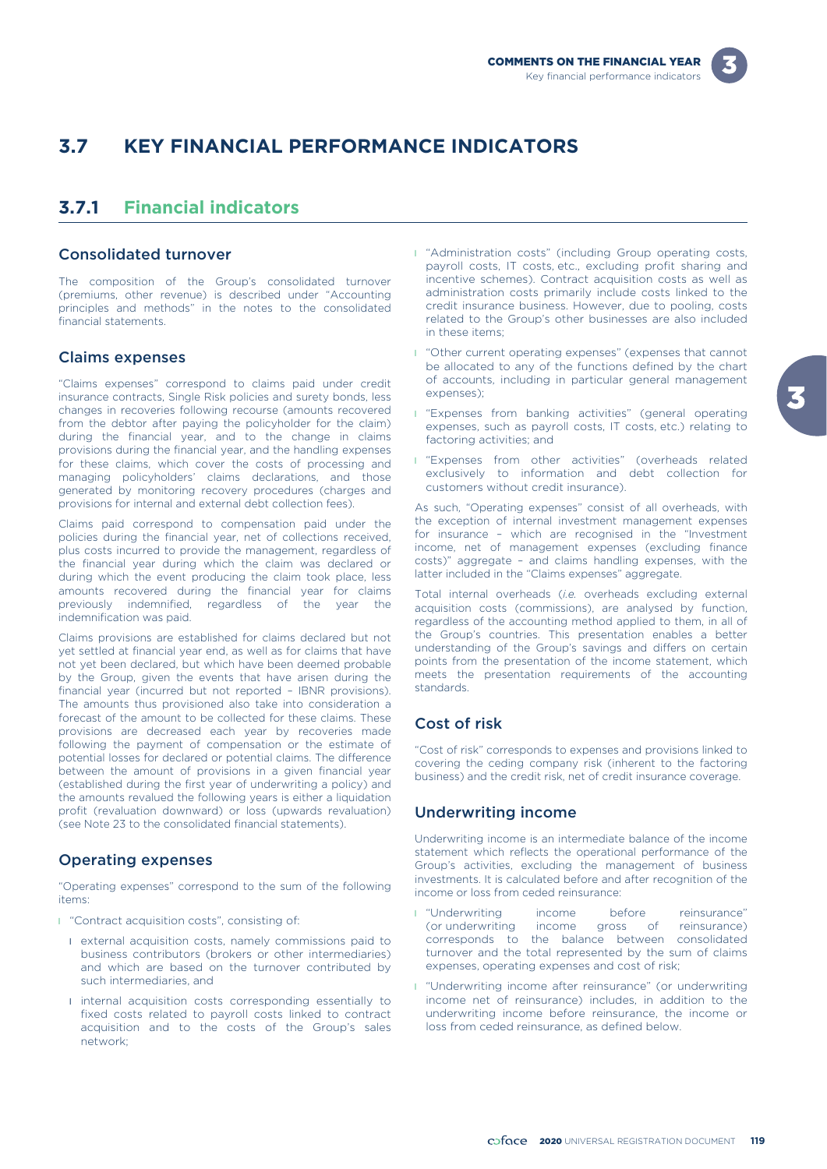

# **3.7 KEY FINANCIAL PERFORMANCE INDICATORS**

# **3.7.1 Financial indicators**

### Consolidated turnover

The composition of the Group's consolidated turnover (premiums, other revenue) is described under "Accounting principles and methods" in the notes to the consolidated financial statements.

### Claims expenses

"Claims expenses" correspond to claims paid under credit insurance contracts, Single Risk policies and surety bonds, less changes in recoveries following recourse (amounts recovered from the debtor after paying the policyholder for the claim) during the financial year, and to the change in claims provisions during the financial year, and the handling expenses for these claims, which cover the costs of processing and managing policyholders' claims declarations, and those generated by monitoring recovery procedures (charges and provisions for internal and external debt collection fees).

Claims paid correspond to compensation paid under the policies during the financial year, net of collections received, plus costs incurred to provide the management, regardless of the financial year during which the claim was declared or during which the event producing the claim took place, less amounts recovered during the financial year for claims previously indemnified, regardless of the year the indemnification was paid.

Claims provisions are established for claims declared but not yet settled at financial year end, as well as for claims that have not yet been declared, but which have been deemed probable by the Group, given the events that have arisen during the financial year (incurred but not reported – IBNR provisions). The amounts thus provisioned also take into consideration a forecast of the amount to be collected for these claims. These provisions are decreased each year by recoveries made following the payment of compensation or the estimate of potential losses for declared or potential claims. The difference between the amount of provisions in a given financial year (established during the first year of underwriting a policy) and the amounts revalued the following years is either a liquidation profit (revaluation downward) or loss (upwards revaluation) (see Note 23 to the consolidated financial statements).

#### Operating expenses

"Operating expenses" correspond to the sum of the following items:

- l "Contract acquisition costs", consisting of:
	- l external acquisition costs, namely commissions paid to business contributors (brokers or other intermediaries) and which are based on the turnover contributed by such intermediaries, and
	- **I** internal acquisition costs corresponding essentially to fixed costs related to payroll costs linked to contract acquisition and to the costs of the Group's sales network;
- **I** "Administration costs" (including Group operating costs, payroll costs, IT costs, etc., excluding profit sharing and incentive schemes). Contract acquisition costs as well as administration costs primarily include costs linked to the credit insurance business. However, due to pooling, costs related to the Group's other businesses are also included in these items;
- **I** "Other current operating expenses" (expenses that cannot be allocated to any of the functions defined by the chart of accounts, including in particular general management expenses);
- **I** "Expenses from banking activities" (general operating expenses, such as payroll costs, IT costs, etc.) relating to factoring activities; and
- **I** "Expenses from other activities" (overheads related exclusively to information and debt collection for customers without credit insurance).

As such, "Operating expenses" consist of all overheads, with the exception of internal investment management expenses for insurance – which are recognised in the "Investment income, net of management expenses (excluding finance costs)" aggregate – and claims handling expenses, with the latter included in the "Claims expenses" aggregate.

Total internal overheads (*i.e.* overheads excluding external acquisition costs (commissions), are analysed by function, regardless of the accounting method applied to them, in all of the Group's countries. This presentation enables a better understanding of the Group's savings and differs on certain points from the presentation of the income statement, which meets the presentation requirements of the accounting standards.

### Cost of risk

"Cost of risk" corresponds to expenses and provisions linked to covering the ceding company risk (inherent to the factoring business) and the credit risk, net of credit insurance coverage.

### Underwriting income

Underwriting income is an intermediate balance of the income statement which reflects the operational performance of the Group's activities, excluding the management of business investments. It is calculated before and after recognition of the income or loss from ceded reinsurance:

- **I** "Underwriting income before reinsurance"<br>(or underwriting income gross of reinsurance) (or underwriting income gross of reinsurance) corresponds to the balance between consolidated turnover and the total represented by the sum of claims expenses, operating expenses and cost of risk;
- **I** "Underwriting income after reinsurance" (or underwriting income net of reinsurance) includes, in addition to the underwriting income before reinsurance, the income or loss from ceded reinsurance, as defined below.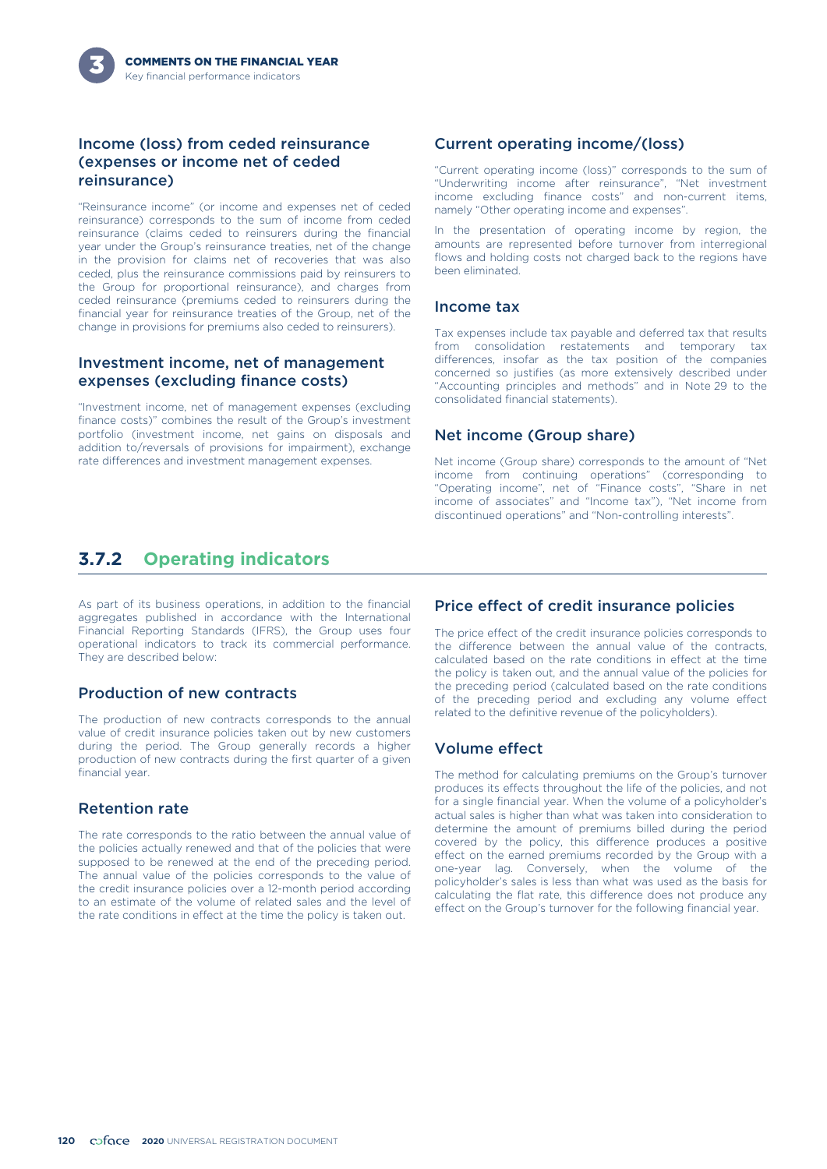### Income (loss) from ceded reinsurance (expenses or income net of ceded reinsurance)

"Reinsurance income" (or income and expenses net of ceded reinsurance) corresponds to the sum of income from ceded reinsurance (claims ceded to reinsurers during the financial year under the Group's reinsurance treaties, net of the change in the provision for claims net of recoveries that was also ceded, plus the reinsurance commissions paid by reinsurers to the Group for proportional reinsurance), and charges from ceded reinsurance (premiums ceded to reinsurers during the financial year for reinsurance treaties of the Group, net of the change in provisions for premiums also ceded to reinsurers).

### Investment income, net of management expenses (excluding finance costs)

"Investment income, net of management expenses (excluding finance costs)" combines the result of the Group's investment portfolio (investment income, net gains on disposals and addition to/reversals of provisions for impairment), exchange rate differences and investment management expenses.

# **3.7.2 Operating indicators**

As part of its business operations, in addition to the financial aggregates published in accordance with the International Financial Reporting Standards (IFRS), the Group uses four operational indicators to track its commercial performance. They are described below:

### Production of new contracts

The production of new contracts corresponds to the annual value of credit insurance policies taken out by new customers during the period. The Group generally records a higher production of new contracts during the first quarter of a given financial year.

### Retention rate

The rate corresponds to the ratio between the annual value of the policies actually renewed and that of the policies that were supposed to be renewed at the end of the preceding period. The annual value of the policies corresponds to the value of the credit insurance policies over a 12-month period according to an estimate of the volume of related sales and the level of the rate conditions in effect at the time the policy is taken out.

### Current operating income/(loss)

"Current operating income (loss)" corresponds to the sum of "Underwriting income after reinsurance", "Net investment income excluding finance costs" and non-current items, namely "Other operating income and expenses".

In the presentation of operating income by region, the amounts are represented before turnover from interregional flows and holding costs not charged back to the regions have been eliminated.

#### Income tax

Tax expenses include tax payable and deferred tax that results from consolidation restatements and temporary tax differences, insofar as the tax position of the companies concerned so justifies (as more extensively described under "Accounting principles and methods" and in Note 29 to the consolidated financial statements).

### Net income (Group share)

Net income (Group share) corresponds to the amount of "Net income from continuing operations" (corresponding to "Operating income", net of "Finance costs", "Share in net income of associates" and "Income tax"), "Net income from discontinued operations" and "Non-controlling interests".

### Price effect of credit insurance policies

The price effect of the credit insurance policies corresponds to the difference between the annual value of the contracts, calculated based on the rate conditions in effect at the time the policy is taken out, and the annual value of the policies for the preceding period (calculated based on the rate conditions of the preceding period and excluding any volume effect related to the definitive revenue of the policyholders).

### Volume effect

The method for calculating premiums on the Group's turnover produces its effects throughout the life of the policies, and not for a single financial year. When the volume of a policyholder's actual sales is higher than what was taken into consideration to determine the amount of premiums billed during the period covered by the policy, this difference produces a positive effect on the earned premiums recorded by the Group with a one-year lag. Conversely, when the volume of the policyholder's sales is less than what was used as the basis for calculating the flat rate, this difference does not produce any effect on the Group's turnover for the following financial year.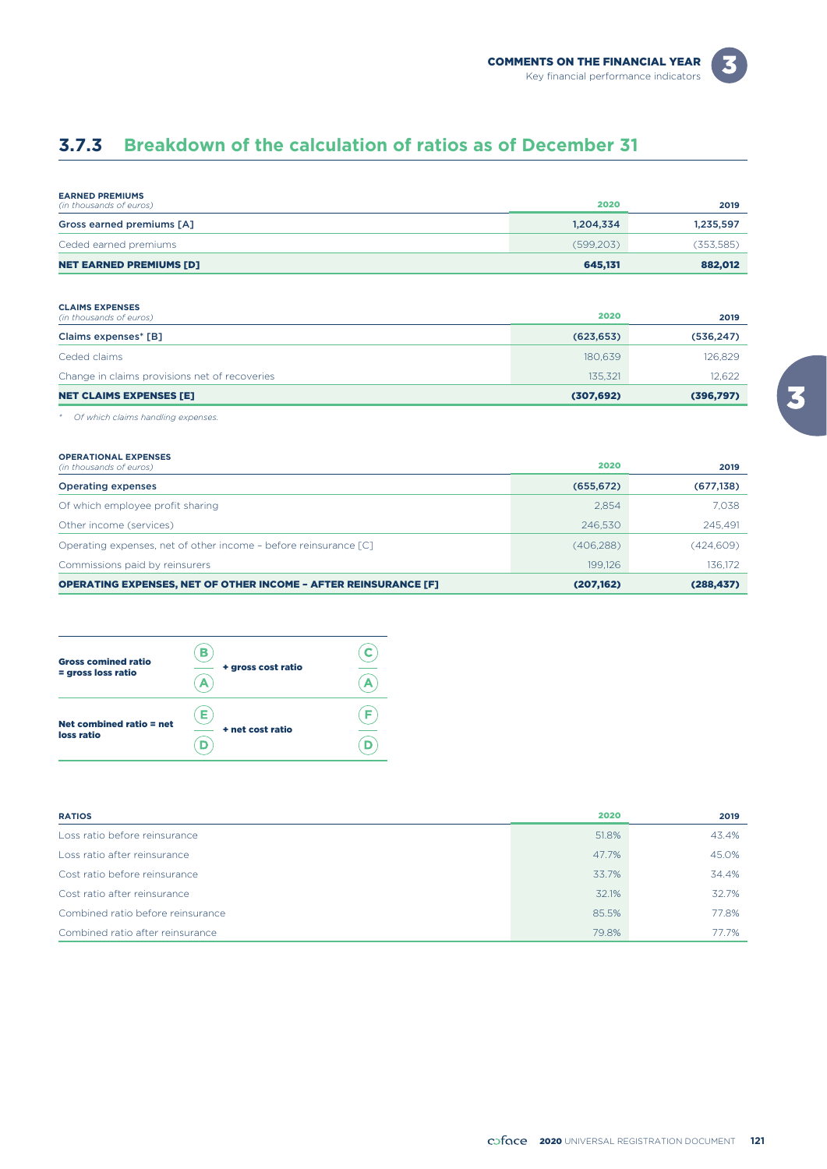# **3.7.3 Breakdown of the calculation of ratios as of December 31**

| <b>EARNED PREMIUMS</b><br>(in thousands of euros) | 2020      | 2019       |
|---------------------------------------------------|-----------|------------|
| Gross earned premiums [A]                         | 1,204,334 | 1,235,597  |
| Ceded earned premiums                             | (599.203) | (353, 585) |
| <b>NET EARNED PREMIUMS [D]</b>                    | 645,131   | 882,012    |

#### **CLAIMS EXPENSES**

| <b>NET CLAIMS EXPENSES [E]</b>                | (307, 692) | (396,797)  |
|-----------------------------------------------|------------|------------|
| Change in claims provisions net of recoveries | 135.321    | 12.622     |
| Ceded claims                                  | 180.639    | 126,829    |
| Claims expenses* [B]                          | (623, 653) | (536, 247) |
| (in thousands of euros)                       | 2020       | 2019       |

#### *\* Of which claims handling expenses.*

#### **OPERATIONAL EXPENSES**

| (in thousands of euros)                                                | 2020       | 2019       |
|------------------------------------------------------------------------|------------|------------|
| <b>Operating expenses</b>                                              | (655, 672) | (677, 138) |
| Of which employee profit sharing                                       | 2.854      | 7.038      |
| Other income (services)                                                | 246,530    | 245.491    |
| Operating expenses, net of other income - before reinsurance [C]       | (406,288)  | (424,609)  |
| Commissions paid by reinsurers                                         | 199.126    | 136,172    |
| <b>OPERATING EXPENSES, NET OF OTHER INCOME - AFTER REINSURANCE [F]</b> | (207,162)  | (288, 437) |

#### $\frac{1}{\left( \frac{1}{\mathbf{A}}\right) }$  $\left( \mathbf{B}\right)$ Gross comined ratio Gross comined ratio  $=$  gross loss ratio  $\overrightarrow{A}$  + gross cost ratio  $\overline{\bigoplus}$ Net combined ratio = net<br>loss ratio<br> $\overline{D}$  + net cost ratio Net combined ratio = net  $\overline{\widehat{(\mathsf{D})}}$

| <b>RATIOS</b>                     | 2020  | 2019  |
|-----------------------------------|-------|-------|
| Loss ratio before reinsurance     | 51.8% | 43.4% |
| Loss ratio after reinsurance      | 47.7% | 45.0% |
| Cost ratio before reinsurance     | 33.7% | 34.4% |
| Cost ratio after reinsurance      | 32.1% | 32.7% |
| Combined ratio before reinsurance | 85.5% | 77.8% |
| Combined ratio after reinsurance  | 79.8% | 77.7% |

3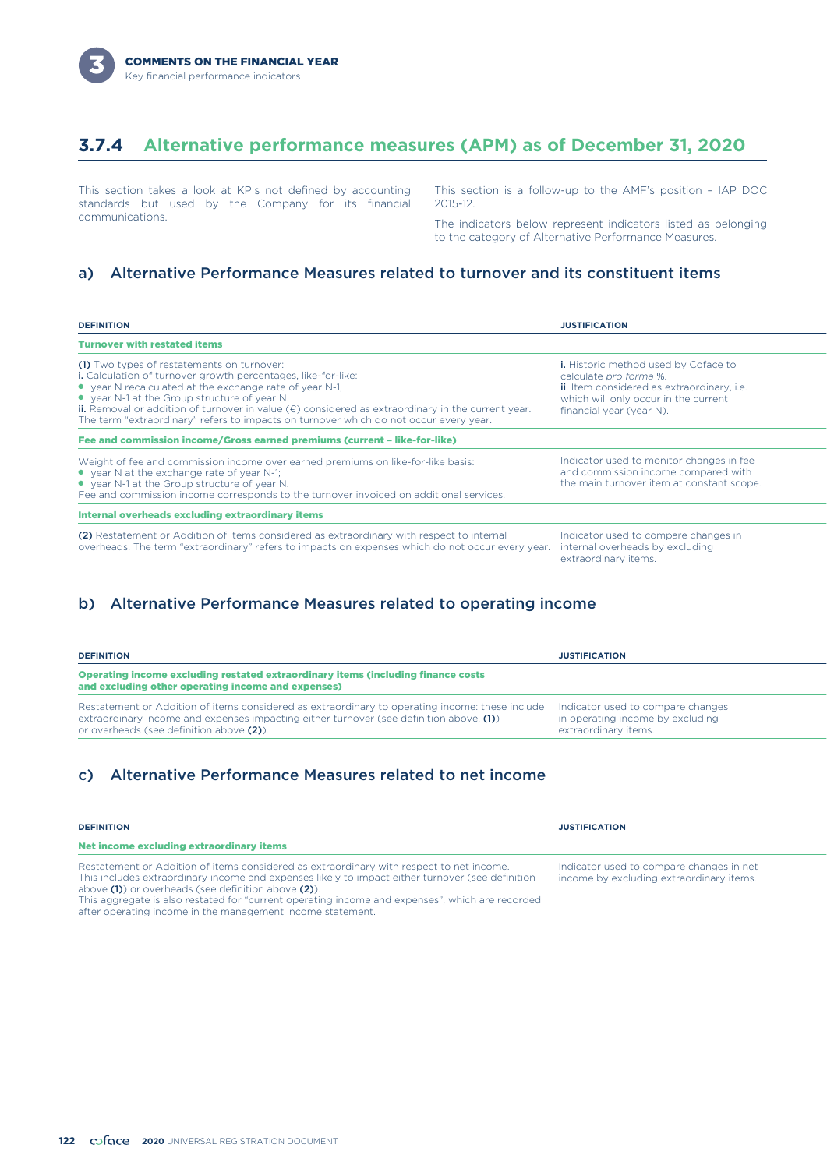## **3.7.4 Alternative performance measures (APM) as of December 31, 2020**

This section takes a look at KPIs not defined by accounting standards but used by the Company for its financial communications.

This section is a follow-up to the AMF's position – IAP DOC 2015-12.

The indicators below represent indicators listed as belonging to the category of Alternative Performance Measures.

### a) Alternative Performance Measures related to turnover and its constituent items

| <b>DEFINITION</b>                                                                                                                                                                                                                                                                                                                                                                                                                           | <b>JUSTIFICATION</b>                                                                                                                                                                    |
|---------------------------------------------------------------------------------------------------------------------------------------------------------------------------------------------------------------------------------------------------------------------------------------------------------------------------------------------------------------------------------------------------------------------------------------------|-----------------------------------------------------------------------------------------------------------------------------------------------------------------------------------------|
| <b>Turnover with restated items</b>                                                                                                                                                                                                                                                                                                                                                                                                         |                                                                                                                                                                                         |
| (1) Two types of restatements on turnover:<br><b>i.</b> Calculation of turnover growth percentages, like-for-like:<br>• year N recalculated at the exchange rate of year N-1;<br>• year N-1 at the Group structure of year N.<br><b>ii.</b> Removal or addition of turnover in value $(\epsilon)$ considered as extraordinary in the current year.<br>The term "extraordinary" refers to impacts on turnover which do not occur every year. | <b>i.</b> Historic method used by Coface to<br>calculate pro forma %.<br>ii. Item considered as extraordinary, i.e.<br>which will only occur in the current<br>financial year (year N). |
| Fee and commission income/Gross earned premiums (current - like-for-like)                                                                                                                                                                                                                                                                                                                                                                   |                                                                                                                                                                                         |
| Weight of fee and commission income over earned premiums on like-for-like basis:<br>• year N at the exchange rate of year N-1;<br>• year N-1 at the Group structure of year N.<br>Fee and commission income corresponds to the turnover invoiced on additional services.                                                                                                                                                                    | Indicator used to monitor changes in fee<br>and commission income compared with<br>the main turnover item at constant scope.                                                            |
| <b>Internal overheads excluding extraordinary items</b>                                                                                                                                                                                                                                                                                                                                                                                     |                                                                                                                                                                                         |
| (2) Restatement or Addition of items considered as extraordinary with respect to internal<br>overheads. The term "extraordinary" refers to impacts on expenses which do not occur every year.                                                                                                                                                                                                                                               | Indicator used to compare changes in<br>internal overheads by excluding<br>extraordinary items.                                                                                         |

### b) Alternative Performance Measures related to operating income

| <b>DEFINITION</b>                                                                                                                                                                                                                         | <b>JUSTIFICATION</b>                                                                          |
|-------------------------------------------------------------------------------------------------------------------------------------------------------------------------------------------------------------------------------------------|-----------------------------------------------------------------------------------------------|
| Operating income excluding restated extraordinary items (including finance costs<br>and excluding other operating income and expenses)                                                                                                    |                                                                                               |
| Restatement or Addition of items considered as extraordinary to operating income: these include<br>extraordinary income and expenses impacting either turnover (see definition above, $(1)$ )<br>or overheads (see definition above (2)). | Indicator used to compare changes<br>in operating income by excluding<br>extraordinary items. |

### c) Alternative Performance Measures related to net income

| <b>DEFINITION</b>                                                                                                                                                                                                                                                                                                                                                                                                   | <b>JUSTIFICATION</b>                                                                 |
|---------------------------------------------------------------------------------------------------------------------------------------------------------------------------------------------------------------------------------------------------------------------------------------------------------------------------------------------------------------------------------------------------------------------|--------------------------------------------------------------------------------------|
| Net income excluding extraordinary items                                                                                                                                                                                                                                                                                                                                                                            |                                                                                      |
| Restatement or Addition of items considered as extraordinary with respect to net income.<br>This includes extraordinary income and expenses likely to impact either turnover (see definition<br>above (1) or overheads (see definition above (2)).<br>This aggregate is also restated for "current operating income and expenses", which are recorded<br>after operating income in the management income statement. | Indicator used to compare changes in net<br>income by excluding extraordinary items. |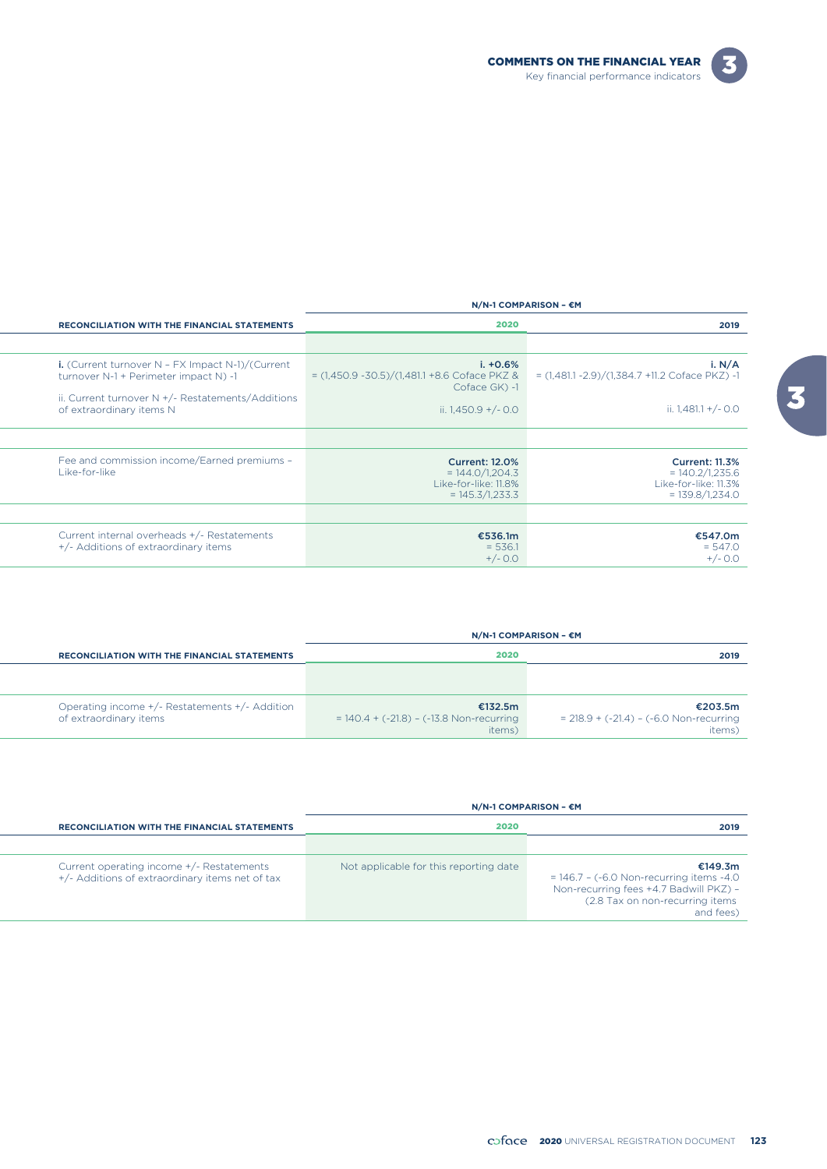

|                                                                                                                                                        | N/N-1 COMPARISON - €M                                                                   |                                                                                         |
|--------------------------------------------------------------------------------------------------------------------------------------------------------|-----------------------------------------------------------------------------------------|-----------------------------------------------------------------------------------------|
| <b>RECONCILIATION WITH THE FINANCIAL STATEMENTS</b>                                                                                                    | 2020                                                                                    | 2019                                                                                    |
|                                                                                                                                                        |                                                                                         |                                                                                         |
| i. (Current turnover $N$ - FX Impact $N-1$ )/(Current<br>turnover N-1 + Perimeter impact N) -1<br>ii. Current turnover $N + (-$ Restatements/Additions | $i. +0.6%$<br>$=$ (1,450.9 -30.5)/(1,481.1 +8.6 Coface PKZ &<br>Coface GK) -1           | i. $N/A$<br>$= (1,481.1 - 2.9)/(1,384.7 +11.2)$ Coface PKZ) -1                          |
| of extraordinary items N                                                                                                                               | ii. $1,450.9 + (-0.0)$                                                                  | ii. $1,481.1 + (-0.0)$                                                                  |
| Fee and commission income/Earned premiums -<br>Like-for-like                                                                                           | <b>Current: 12.0%</b><br>$= 144.0/1,204.3$<br>Like-for-like: 11.8%<br>$= 145.3/1,233.3$ | <b>Current: 11.3%</b><br>$= 140.2/1,235.6$<br>Like-for-like: 11.3%<br>$= 139.8/1.234.0$ |
| Current internal overheads +/- Restatements<br>+/- Additions of extraordinary items                                                                    | €536.1m<br>$= 536.1$<br>$+/- 0.0$                                                       | €547.0m<br>$= 547.0$<br>$+/- 0.0$                                                       |

|                                                                          | $N/N-1$ COMPARISON - $\epsilon$ M                               |                                                                         |
|--------------------------------------------------------------------------|-----------------------------------------------------------------|-------------------------------------------------------------------------|
| <b>RECONCILIATION WITH THE FINANCIAL STATEMENTS</b>                      | 2020                                                            | 2019                                                                    |
|                                                                          |                                                                 |                                                                         |
| Operating income +/- Restatements +/- Addition<br>of extraordinary items | €132.5m<br>$= 140.4 + (-21.8) - (-13.8$ Non-recurring<br>items) | €203.5m<br>$= 218.9 + (-21.4) - (-6.0 \text{ Non-recurring})$<br>items) |

 $\overline{a}$ 

|                                                                                              | $N/N-1$ COMPARISON – $\epsilon M$      |                                                                                                                                                    |  |
|----------------------------------------------------------------------------------------------|----------------------------------------|----------------------------------------------------------------------------------------------------------------------------------------------------|--|
| <b>RECONCILIATION WITH THE FINANCIAL STATEMENTS</b>                                          | 2020                                   | 2019                                                                                                                                               |  |
|                                                                                              |                                        |                                                                                                                                                    |  |
| Current operating income +/- Restatements<br>+/- Additions of extraordinary items net of tax | Not applicable for this reporting date | €149.3m<br>$= 146.7 - (-6.0$ Non-recurring items $-4.0$<br>Non-recurring fees +4.7 Badwill PKZ) -<br>(2.8 Tax on non-recurring items)<br>and fees) |  |

 $\boxed{3}$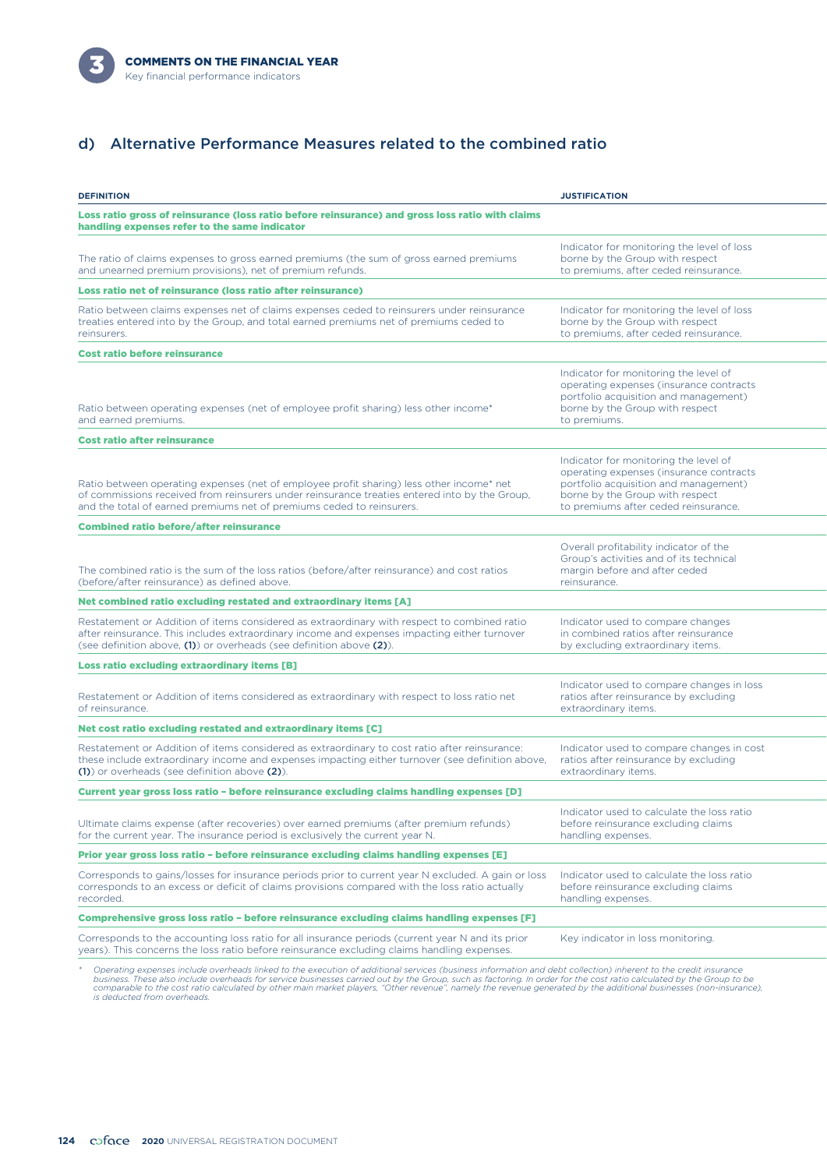

### d) Alternative Performance Measures related to the combined ratio

| <b>DEFINITION</b>                                                                                                                                                                                                                                                                                                                       | <b>JUSTIFICATION</b>                                                                                                                                                                                 |
|-----------------------------------------------------------------------------------------------------------------------------------------------------------------------------------------------------------------------------------------------------------------------------------------------------------------------------------------|------------------------------------------------------------------------------------------------------------------------------------------------------------------------------------------------------|
| Loss ratio gross of reinsurance (loss ratio before reinsurance) and gross loss ratio with claims<br>handling expenses refer to the same indicator                                                                                                                                                                                       |                                                                                                                                                                                                      |
| The ratio of claims expenses to gross earned premiums (the sum of gross earned premiums<br>and unearned premium provisions), net of premium refunds.                                                                                                                                                                                    | Indicator for monitoring the level of loss<br>borne by the Group with respect<br>to premiums, after ceded reinsurance.                                                                               |
| Loss ratio net of reinsurance (loss ratio after reinsurance)                                                                                                                                                                                                                                                                            |                                                                                                                                                                                                      |
| Ratio between claims expenses net of claims expenses ceded to reinsurers under reinsurance<br>treaties entered into by the Group, and total earned premiums net of premiums ceded to<br>reinsurers.                                                                                                                                     | Indicator for monitoring the level of loss<br>borne by the Group with respect<br>to premiums, after ceded reinsurance.                                                                               |
| Cost ratio before reinsurance                                                                                                                                                                                                                                                                                                           |                                                                                                                                                                                                      |
| Ratio between operating expenses (net of employee profit sharing) less other income*<br>and earned premiums.                                                                                                                                                                                                                            | Indicator for monitoring the level of<br>operating expenses (insurance contracts<br>portfolio acquisition and management)<br>borne by the Group with respect<br>to premiums.                         |
| <b>Cost ratio after reinsurance</b>                                                                                                                                                                                                                                                                                                     |                                                                                                                                                                                                      |
| Ratio between operating expenses (net of employee profit sharing) less other income* net<br>of commissions received from reinsurers under reinsurance treaties entered into by the Group,<br>and the total of earned premiums net of premiums ceded to reinsurers.                                                                      | Indicator for monitoring the level of<br>operating expenses (insurance contracts<br>portfolio acquisition and management)<br>borne by the Group with respect<br>to premiums after ceded reinsurance. |
| <b>Combined ratio before/after reinsurance</b>                                                                                                                                                                                                                                                                                          |                                                                                                                                                                                                      |
| The combined ratio is the sum of the loss ratios (before/after reinsurance) and cost ratios<br>(before/after reinsurance) as defined above.                                                                                                                                                                                             | Overall profitability indicator of the<br>Group's activities and of its technical<br>margin before and after ceded<br>reinsurance.                                                                   |
| Net combined ratio excluding restated and extraordinary items [A]                                                                                                                                                                                                                                                                       |                                                                                                                                                                                                      |
| Restatement or Addition of items considered as extraordinary with respect to combined ratio<br>after reinsurance. This includes extraordinary income and expenses impacting either turnover<br>(see definition above, (1)) or overheads (see definition above (2)).                                                                     | Indicator used to compare changes<br>in combined ratios after reinsurance<br>by excluding extraordinary items.                                                                                       |
| Loss ratio excluding extraordinary items [B]                                                                                                                                                                                                                                                                                            |                                                                                                                                                                                                      |
| Restatement or Addition of items considered as extraordinary with respect to loss ratio net<br>of reinsurance.                                                                                                                                                                                                                          | Indicator used to compare changes in loss<br>ratios after reinsurance by excluding<br>extraordinary items.                                                                                           |
| Net cost ratio excluding restated and extraordinary items [C]                                                                                                                                                                                                                                                                           |                                                                                                                                                                                                      |
| Restatement or Addition of items considered as extraordinary to cost ratio after reinsurance:<br>these include extraordinary income and expenses impacting either turnover (see definition above,<br>(1) or overheads (see definition above (2)).                                                                                       | Indicator used to compare changes in cost<br>ratios after reinsurance by excluding<br>extraordinary items.                                                                                           |
| Current year gross loss ratio - before reinsurance excluding claims handling expenses [D]                                                                                                                                                                                                                                               |                                                                                                                                                                                                      |
| Ultimate claims expense (after recoveries) over earned premiums (after premium refunds)<br>for the current year. The insurance period is exclusively the current year N.                                                                                                                                                                | Indicator used to calculate the loss ratio<br>before reinsurance excluding claims<br>handling expenses.                                                                                              |
| Prior year gross loss ratio - before reinsurance excluding claims handling expenses [E]                                                                                                                                                                                                                                                 |                                                                                                                                                                                                      |
| Corresponds to gains/losses for insurance periods prior to current year N excluded. A gain or loss<br>corresponds to an excess or deficit of claims provisions compared with the loss ratio actually<br>recorded.                                                                                                                       | Indicator used to calculate the loss ratio<br>before reinsurance excluding claims<br>handling expenses.                                                                                              |
| Comprehensive gross loss ratio - before reinsurance excluding claims handling expenses [F]                                                                                                                                                                                                                                              |                                                                                                                                                                                                      |
| Corresponds to the accounting loss ratio for all insurance periods (current year N and its prior<br>years). This concerns the loss ratio before reinsurance excluding claims handling expenses.                                                                                                                                         | Key indicator in loss monitoring.                                                                                                                                                                    |
| Operating expenses include overheads linked to the execution of additional services (business information and debt collection) inherent to the credit insurance<br>business. These also include overheads for service businesses carried out by the Group, such as factoring. In order for the cost ratio calculated by the Group to be |                                                                                                                                                                                                      |

business. These also include overheads for service businesses carried out by the Group, such as factoring. In order for the cost ratio calculated by the Group to be<br>comparable to the cost ratio calculated by other main mar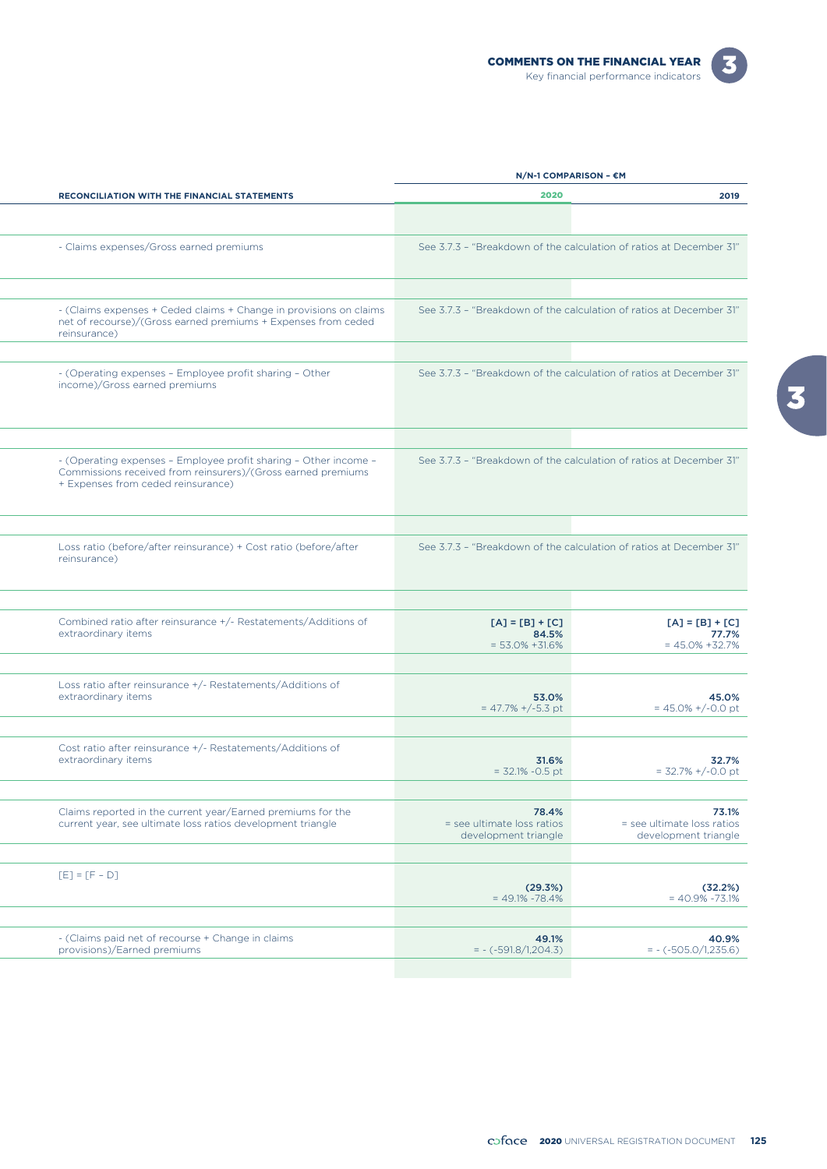



|                                                                                                                                                                        | N/N-1 COMPARISON - €M                                               |                                                             |
|------------------------------------------------------------------------------------------------------------------------------------------------------------------------|---------------------------------------------------------------------|-------------------------------------------------------------|
| RECONCILIATION WITH THE FINANCIAL STATEMENTS                                                                                                                           | 2020                                                                | 2019                                                        |
|                                                                                                                                                                        |                                                                     |                                                             |
| - Claims expenses/Gross earned premiums                                                                                                                                | See 3.7.3 - "Breakdown of the calculation of ratios at December 31" |                                                             |
|                                                                                                                                                                        |                                                                     |                                                             |
| - (Claims expenses + Ceded claims + Change in provisions on claims<br>net of recourse)/(Gross earned premiums + Expenses from ceded<br>reinsurance)                    | See 3.7.3 - "Breakdown of the calculation of ratios at December 31" |                                                             |
| - (Operating expenses - Employee profit sharing - Other<br>income)/Gross earned premiums                                                                               | See 3.7.3 - "Breakdown of the calculation of ratios at December 31" |                                                             |
|                                                                                                                                                                        |                                                                     |                                                             |
| - (Operating expenses - Employee profit sharing - Other income -<br>Commissions received from reinsurers)/(Gross earned premiums<br>+ Expenses from ceded reinsurance) | See 3.7.3 - "Breakdown of the calculation of ratios at December 31" |                                                             |
|                                                                                                                                                                        |                                                                     |                                                             |
| Loss ratio (before/after reinsurance) + Cost ratio (before/after<br>reinsurance)                                                                                       | See 3.7.3 - "Breakdown of the calculation of ratios at December 31" |                                                             |
|                                                                                                                                                                        |                                                                     |                                                             |
| Combined ratio after reinsurance +/- Restatements/Additions of<br>extraordinary items                                                                                  | $[A] = [B] + [C]$<br>84.5%<br>$= 53.0\% + 31.6\%$                   | $[A] = [B] + [C]$<br>77.7%<br>$= 45.0\% + 32.7\%$           |
|                                                                                                                                                                        |                                                                     |                                                             |
| Loss ratio after reinsurance +/- Restatements/Additions of<br>extraordinary items                                                                                      | 53.0%<br>$= 47.7\% + (-5.3)$ pt                                     | 45.0%<br>$= 45.0\% + (-0.0)$ pt                             |
|                                                                                                                                                                        |                                                                     |                                                             |
| Cost ratio after reinsurance +/- Restatements/Additions of<br>extraordinary items                                                                                      | 31.6%<br>$= 32.1\% -0.5$ pt                                         | 32.7%<br>$= 32.7\% + (-0.0)$ pt                             |
|                                                                                                                                                                        |                                                                     |                                                             |
| Claims reported in the current year/Earned premiums for the<br>current year, see ultimate loss ratios development triangle                                             | 78.4%<br>= see ultimate loss ratios<br>development triangle         | 73.1%<br>= see ultimate loss ratios<br>development triangle |
|                                                                                                                                                                        |                                                                     |                                                             |
| $[E] = [F - D]$                                                                                                                                                        | (29.3%)<br>$= 49.1\% - 78.4\%$                                      | (32.2%)<br>$= 40.9\% - 73.1\%$                              |
|                                                                                                                                                                        |                                                                     |                                                             |
| - (Claims paid net of recourse + Change in claims<br>provisions)/Earned premiums                                                                                       | 49.1%<br>$= -(-591.8/1,204.3)$                                      | 40.9%<br>$= -(-505.0/1,235.6)$                              |
|                                                                                                                                                                        |                                                                     |                                                             |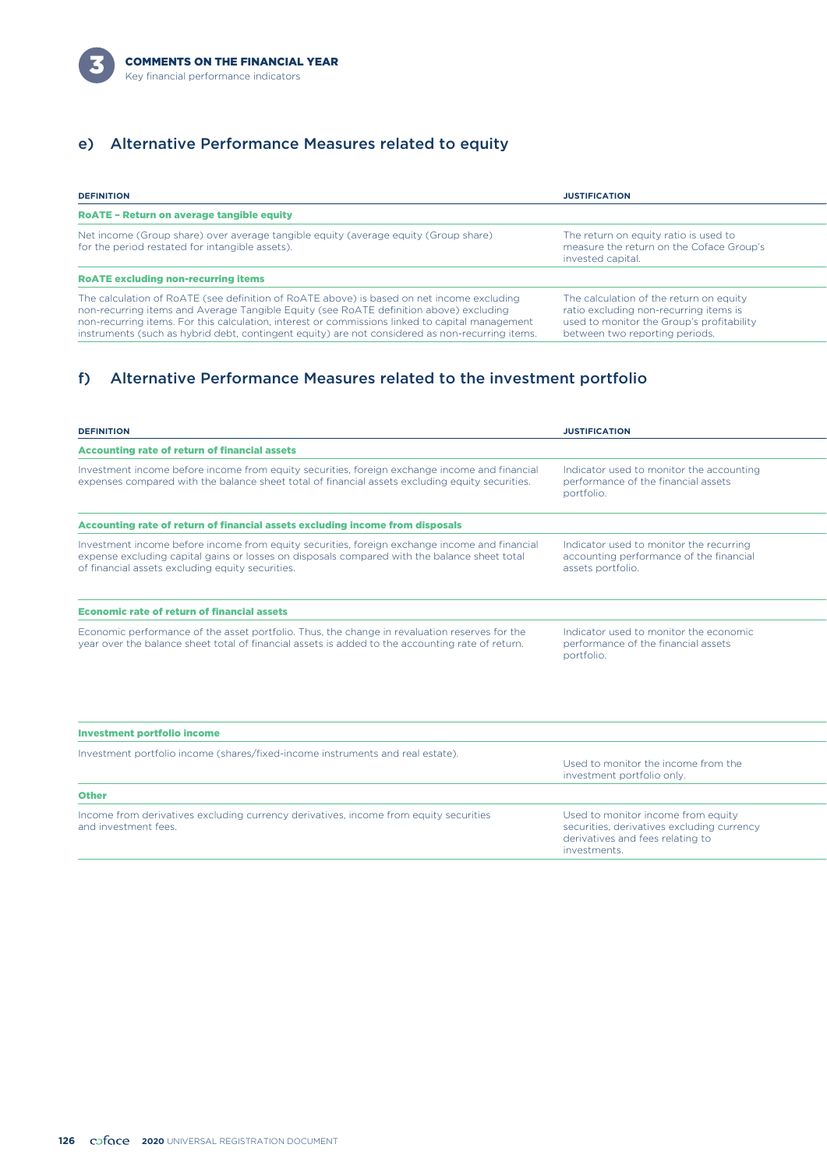

### e) Alternative Performance Measures related to equity

| <b>DEFINITION</b>                                                                                                                                                                                                                                                                                                                                                                         | <b>JUSTIFICATION</b>                                                                                                                                             |
|-------------------------------------------------------------------------------------------------------------------------------------------------------------------------------------------------------------------------------------------------------------------------------------------------------------------------------------------------------------------------------------------|------------------------------------------------------------------------------------------------------------------------------------------------------------------|
| <b>ROATE - Return on average tangible equity</b>                                                                                                                                                                                                                                                                                                                                          |                                                                                                                                                                  |
| Net income (Group share) over average tangible equity (average equity (Group share)<br>for the period restated for intangible assets).                                                                                                                                                                                                                                                    | The return on equity ratio is used to<br>measure the return on the Coface Group's<br>invested capital.                                                           |
| <b>ROATE excluding non-recurring items</b>                                                                                                                                                                                                                                                                                                                                                |                                                                                                                                                                  |
| The calculation of RoATE (see definition of RoATE above) is based on net income excluding<br>non-recurring items and Average Tangible Equity (see RoATE definition above) excluding<br>non-recurring items. For this calculation, interest or commissions linked to capital management<br>instruments (such as hybrid debt, contingent equity) are not considered as non-recurring items. | The calculation of the return on equity<br>ratio excluding non-recurring items is<br>used to monitor the Group's profitability<br>between two reporting periods. |

## f) Alternative Performance Measures related to the investment portfolio

| <b>DEFINITION</b>                                                                                                                                                                                                                                 | <b>JUSTIFICATION</b>                                                                                                                 |
|---------------------------------------------------------------------------------------------------------------------------------------------------------------------------------------------------------------------------------------------------|--------------------------------------------------------------------------------------------------------------------------------------|
| <b>Accounting rate of return of financial assets</b>                                                                                                                                                                                              |                                                                                                                                      |
| Investment income before income from equity securities, foreign exchange income and financial<br>expenses compared with the balance sheet total of financial assets excluding equity securities.                                                  | Indicator used to monitor the accounting<br>performance of the financial assets<br>portfolio.                                        |
| Accounting rate of return of financial assets excluding income from disposals                                                                                                                                                                     |                                                                                                                                      |
| Investment income before income from equity securities, foreign exchange income and financial<br>expense excluding capital gains or losses on disposals compared with the balance sheet total<br>of financial assets excluding equity securities. | Indicator used to monitor the recurring<br>accounting performance of the financial<br>assets portfolio.                              |
| <b>Economic rate of return of financial assets</b>                                                                                                                                                                                                |                                                                                                                                      |
| Economic performance of the asset portfolio. Thus, the change in revaluation reserves for the<br>year over the balance sheet total of financial assets is added to the accounting rate of return.                                                 | Indicator used to monitor the economic<br>performance of the financial assets<br>portfolio.                                          |
| <b>Investment portfolio income</b>                                                                                                                                                                                                                |                                                                                                                                      |
| Investment portfolio income (shares/fixed-income instruments and real estate).                                                                                                                                                                    |                                                                                                                                      |
|                                                                                                                                                                                                                                                   | Used to monitor the income from the<br>investment portfolio only.                                                                    |
| <b>Other</b>                                                                                                                                                                                                                                      |                                                                                                                                      |
| Income from derivatives excluding currency derivatives, income from equity securities<br>and investment fees.                                                                                                                                     | Used to monitor income from equity<br>securities, derivatives excluding currency<br>derivatives and fees relating to<br>investments. |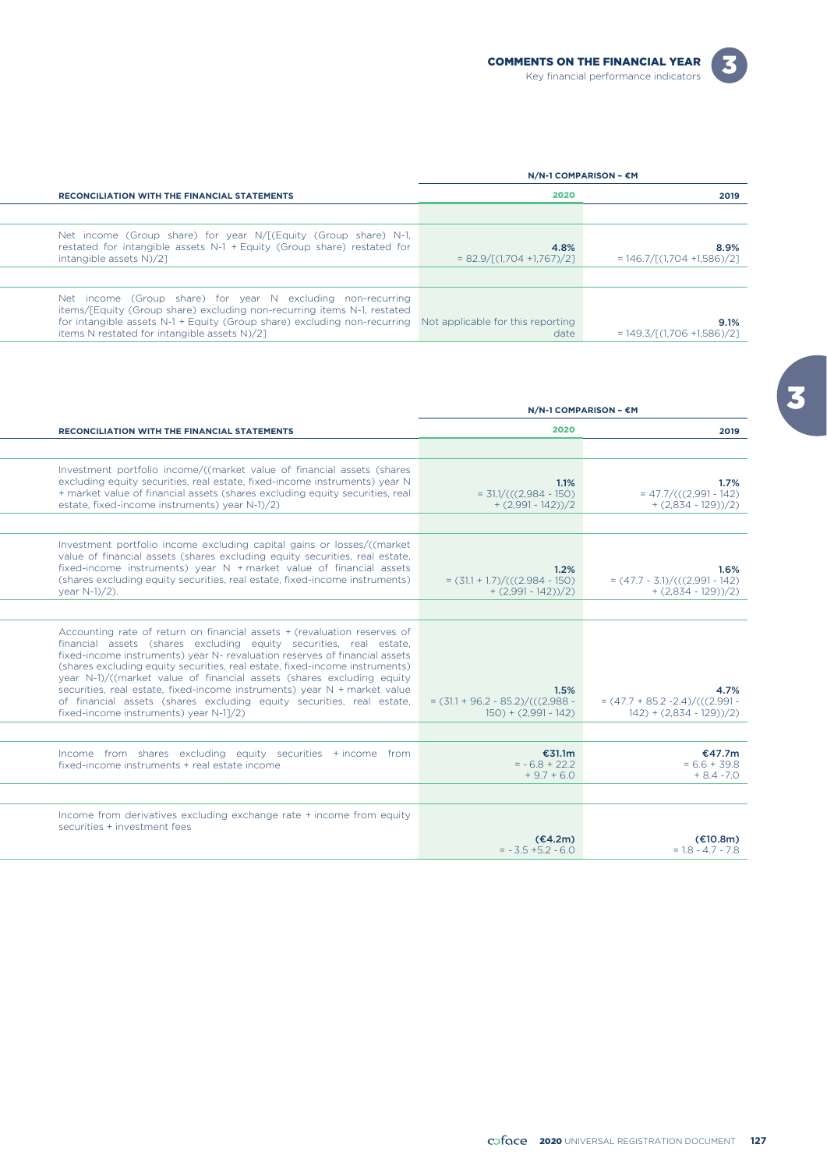| $N/N-1$ COMPARISON - $\epsilon$ M                                                                                                                                                                                                                                                                    |                                     |                                         |
|------------------------------------------------------------------------------------------------------------------------------------------------------------------------------------------------------------------------------------------------------------------------------------------------------|-------------------------------------|-----------------------------------------|
| <b>RECONCILIATION WITH THE FINANCIAL STATEMENTS</b>                                                                                                                                                                                                                                                  | 2020                                | 2019                                    |
|                                                                                                                                                                                                                                                                                                      |                                     |                                         |
| Net income (Group share) for year N/[(Equity (Group share) N-1,<br>restated for intangible assets N-1 + Equity (Group share) restated for<br>intangible assets N)/2]                                                                                                                                 | 4.8%<br>$= 82.9/[(1,704 +1,767)/2]$ | 8.9%<br>$= 146.7 / [(1,704 + 1,586)/2]$ |
|                                                                                                                                                                                                                                                                                                      |                                     |                                         |
| Net income (Group share) for year N excluding non-recurring<br>items/[Equity (Group share) excluding non-recurring items N-1, restated<br>for intangible assets N-1 + Equity (Group share) excluding non-recurring Not applicable for this reporting<br>items N restated for intangible assets N)/2] | date                                | 9.1%<br>$= 149.3 / [(1,706 + 1,586)/2]$ |

| 2020                                                                 | <b>RECONCILIATION WITH THE FINANCIAL STATEMENTS</b>                                                                                                                                                                                                                                                                                                                                                                                                                                                                                                                                 |  |
|----------------------------------------------------------------------|-------------------------------------------------------------------------------------------------------------------------------------------------------------------------------------------------------------------------------------------------------------------------------------------------------------------------------------------------------------------------------------------------------------------------------------------------------------------------------------------------------------------------------------------------------------------------------------|--|
|                                                                      |                                                                                                                                                                                                                                                                                                                                                                                                                                                                                                                                                                                     |  |
| 1.1%<br>$= 31.1/((2.984 - 150))$<br>$+ (2,991 - 142))/2$             | Investment portfolio income/((market value of financial assets (shares<br>excluding equity securities, real estate, fixed-income instruments) year N<br>+ market value of financial assets (shares excluding equity securities, real<br>estate, fixed-income instruments) year N-1)/2)                                                                                                                                                                                                                                                                                              |  |
|                                                                      |                                                                                                                                                                                                                                                                                                                                                                                                                                                                                                                                                                                     |  |
| 1.2%<br>$= (31.1 + 1.7) / (((2.984 - 150))$<br>$+ (2,991 - 142))/2$  | Investment portfolio income excluding capital gains or losses/((market<br>value of financial assets (shares excluding equity securities, real estate,<br>fixed-income instruments) year $N +$ market value of financial assets<br>(shares excluding equity securities, real estate, fixed-income instruments)<br>year N-1)/2).                                                                                                                                                                                                                                                      |  |
|                                                                      |                                                                                                                                                                                                                                                                                                                                                                                                                                                                                                                                                                                     |  |
| 1.5%<br>$=(31.1 + 96.2 - 85.2)/(((2.988 -$<br>$150) + (2,991 - 142)$ | Accounting rate of return on financial assets + (revaluation reserves of<br>financial assets (shares excluding equity securities, real estate,<br>fixed-income instruments) year N- revaluation reserves of financial assets<br>(shares excluding equity securities, real estate, fixed-income instruments)<br>year N-1)/((market value of financial assets (shares excluding equity<br>securities, real estate, fixed-income instruments) year N + market value<br>of financial assets (shares excluding equity securities, real estate,<br>fixed-income instruments) year N-11/2) |  |
|                                                                      |                                                                                                                                                                                                                                                                                                                                                                                                                                                                                                                                                                                     |  |
| €31.1m<br>$= -6.8 + 22.2$<br>$+9.7 + 6.0$                            | Income from shares excluding equity securities + income from<br>fixed-income instruments + real estate income                                                                                                                                                                                                                                                                                                                                                                                                                                                                       |  |
|                                                                      |                                                                                                                                                                                                                                                                                                                                                                                                                                                                                                                                                                                     |  |
| (€4.2m)<br>$= -3.5 + 5.2 - 6.0$                                      | Income from derivatives excluding exchange rate + income from equity<br>securities + investment fees                                                                                                                                                                                                                                                                                                                                                                                                                                                                                |  |
|                                                                      | N/N-1 COMPARISON - €M                                                                                                                                                                                                                                                                                                                                                                                                                                                                                                                                                               |  |

L,

 $\mathbb{R}^2$ 

 $\overline{\mathbf{3}}$ 

 $\boxed{3}$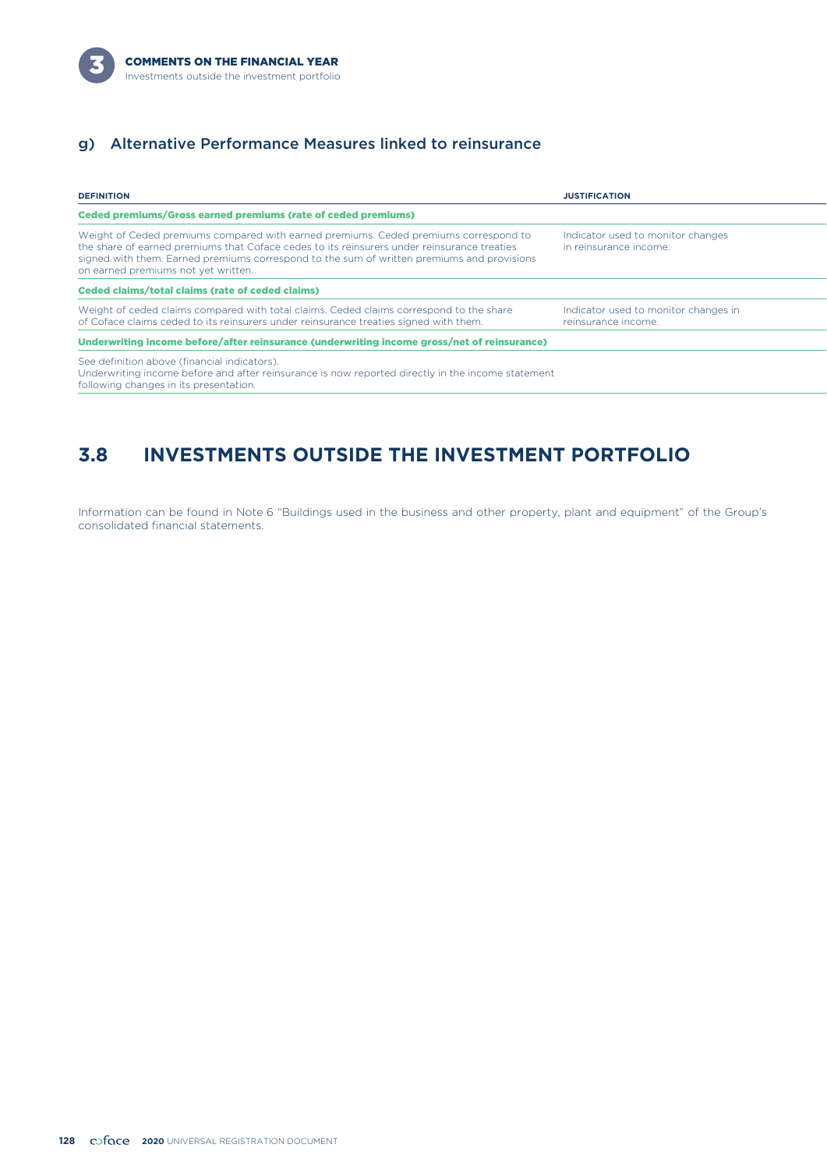

## g) Alternative Performance Measures linked to reinsurance

| <b>DEFINITION</b>                                                                                                                                                                                                                                                                                                        | <b>JUSTIFICATION</b>                                        |
|--------------------------------------------------------------------------------------------------------------------------------------------------------------------------------------------------------------------------------------------------------------------------------------------------------------------------|-------------------------------------------------------------|
| <b>Ceded premiums/Gross earned premiums (rate of ceded premiums)</b>                                                                                                                                                                                                                                                     |                                                             |
| Weight of Ceded premiums compared with earned premiums. Ceded premiums correspond to<br>the share of earned premiums that Coface cedes to its reinsurers under reinsurance treaties<br>signed with them. Earned premiums correspond to the sum of written premiums and provisions<br>on earned premiums not yet written. | Indicator used to monitor changes<br>in reinsurance income. |
| Ceded claims/total claims (rate of ceded claims)                                                                                                                                                                                                                                                                         |                                                             |
| Weight of ceded claims compared with total claims. Ceded claims correspond to the share<br>of Coface claims ceded to its reinsurers under reinsurance treaties signed with them.                                                                                                                                         | Indicator used to monitor changes in<br>reinsurance income. |
| Underwriting income before/after reinsurance (underwriting income gross/net of reinsurance)                                                                                                                                                                                                                              |                                                             |
| See definition above (financial indicators).<br>Underwriting income before and after reinsurance is now reported directly in the income statement<br>following changes in its presentation.                                                                                                                              |                                                             |

# **3.8 INVESTMENTS OUTSIDE THE INVESTMENT PORTFOLIO**

Information can be found in Note 6 "Buildings used in the business and other property, plant and equipment" of the Group's consolidated financial statements.